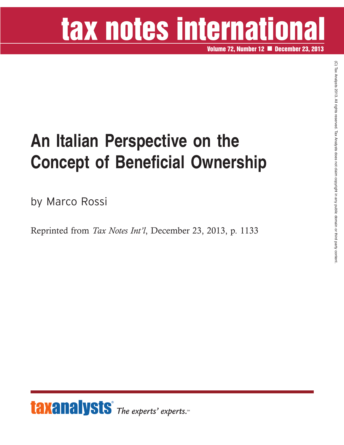## tax notes international

**Volume 72, Number 12 December 23, 2013**

### **An Italian Perspective on the Concept of Beneficial Ownership**

by Marco Rossi

Reprinted from *Tax Notes Int'l*, December 23, 2013, p. 1133

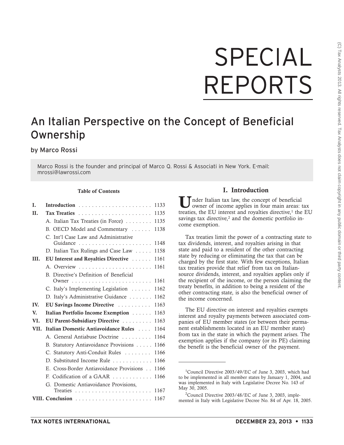## **SPECIAL REPORTS**

#### An Italian Perspective on the Concept of Beneficial Ownership

#### by Marco Rossi

Marco Rossi is the founder and principal of Marco Q. Rossi & Associati in New York. E-mail: mrossi@lawrossi.com

#### **Table of Contents**

| I.   |                                                     | 1133 |
|------|-----------------------------------------------------|------|
| П.   |                                                     | 1135 |
|      | A. Italian Tax Treaties (in Force)                  | 1135 |
|      | $B_{-}$<br>OECD Model and Commentary                | 1138 |
|      | C. Int'l Case Law and Administrative                | 1148 |
|      | D. Italian Tax Rulings and Case Law                 | 1158 |
| Ш.   | EU Interest and Royalties Directive                 | 1161 |
|      |                                                     | 1161 |
|      | Directive's Definition of Beneficial<br>$B_{\cdot}$ |      |
|      |                                                     | 1161 |
|      | C. Italy's Implementing Legislation                 | 1162 |
|      | D. Italy's Administrative Guidance                  | 1162 |
| IV.  |                                                     |      |
|      | EU Savings Income Directive                         | 1163 |
| V.   | Italian Portfolio Income Exemption                  | 1163 |
| VI.  | EU Parent-Subsidiary Directive                      | 1163 |
| VII. | Italian Domestic Antiavoidance Rules                | 1164 |
|      | A. General Antiabuse Doctrine                       | 1164 |
|      | Statutory Antiavoidance Provisions<br>B.            | 1166 |
|      | C. Statutory Anti-Conduit Rules                     | 1166 |
|      | D. Substituted Income Rule                          | 1166 |
|      | E. Cross-Border Antiavoidance Provisions            | 1166 |
|      | F. Codification of a GAAR $\ldots$ ,,,,,,,,,,       | 1166 |
|      | G. Domestic Antiavoidance Provisions,<br>Treaties   | 1167 |

#### **I. Introduction**

**U**nder Italian tax law, the concept of beneficial owner of income applies in four main areas: tax treaties, the EU interest and royalties directive, $<sup>1</sup>$  the EU</sup> savings tax directive,<sup>2</sup> and the domestic portfolio income exemption.

Tax treaties limit the power of a contracting state to tax dividends, interest, and royalties arising in that state and paid to a resident of the other contracting state by reducing or eliminating the tax that can be charged by the first state. With few exceptions, Italian tax treaties provide that relief from tax on Italiansource dividends, interest, and royalties applies only if the recipient of the income, or the person claiming the treaty benefits, in addition to being a resident of the other contracting state, is also the beneficial owner of the income concerned.

The EU directive on interest and royalties exempts interest and royalty payments between associated companies of EU member states (or between their permanent establishments located in an EU member state) from tax in the state in which the payment arises. The exemption applies if the company (or its PE) claiming the benefit is the beneficial owner of the payment.

<sup>&</sup>lt;sup>1</sup>Council Directive 2003/49/EC of June 3, 2003, which had to be implemented in all member states by January 1, 2004, and was implemented in Italy with Legislative Decree No. 143 of May 30, 2005.

<sup>&</sup>lt;sup>2</sup>Council Directive 2003/48/EC of June 3, 2003, implemented in Italy with Legislative Decree No. 84 of Apr. 18, 2005.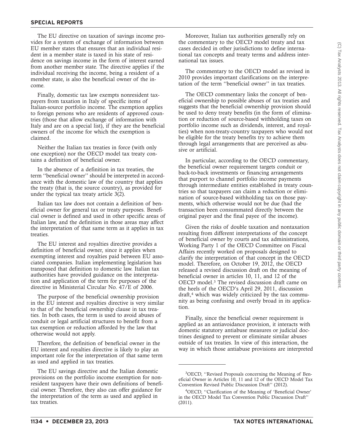#### **SPECIAL REPORTS**

The EU directive on taxation of savings income provides for a system of exchange of information between EU member states that ensures that an individual resident in a member state is taxed in his state of residence on savings income in the form of interest earned from another member state. The directive applies if the individual receiving the income, being a resident of a member state, is also the beneficial owner of the income.

Finally, domestic tax law exempts nonresident taxpayers from taxation in Italy of specific items of Italian-source portfolio income. The exemption applies to foreign persons who are residents of approved countries (those that allow exchange of information with Italy and are on a special list), if they are the beneficial owners of the income for which the exemption is claimed.

Neither the Italian tax treaties in force (with only one exception) nor the OECD model tax treaty contains a definition of beneficial owner.

In the absence of a definition in tax treaties, the term ''beneficial owner'' should be interpreted in accordance with the domestic law of the country that applies the treaty (that is, the source country), as provided for under the typical tax treaty article 3(2).

Italian tax law does not contain a definition of beneficial owner for general tax or treaty purposes. Beneficial owner is defined and used in other specific areas of Italian law, and the definition in those areas may affect the interpretation of that same term as it applies in tax treaties.

The EU interest and royalties directive provides a definition of beneficial owner, since it applies when exempting interest and royalties paid between EU associated companies. Italian implementing legislation has transposed that definition to domestic law. Italian tax authorities have provided guidance on the interpretation and application of the term for purposes of the directive in Ministerial Circular No. 47/E of 2006.

The purpose of the beneficial ownership provision in the EU interest and royalties directive is very similar to that of the beneficial ownership clause in tax treaties. In both cases, the term is used to avoid abuses of conduit or legal artificial structures to benefit from a tax exemption or reduction afforded by the law that otherwise would not apply.

Therefore, the definition of beneficial owner in the EU interest and royalties directive is likely to play an important role for the interpretation of that same term as used and applied in tax treaties.

The EU savings directive and the Italian domestic provisions on the portfolio income exemption for nonresident taxpayers have their own definitions of beneficial owner. Therefore, they also can offer guidance for the interpretation of the term as used and applied in tax treaties.

Moreover, Italian tax authorities generally rely on the commentary to the OECD model treaty and tax cases decided in other jurisdictions to define international tax concepts and treaty terms and address international tax issues.

The commentary to the OECD model as revised in 2010 provides important clarifications on the interpretation of the term ''beneficial owner'' in tax treaties.

The OECD commentary links the concept of beneficial ownership to possible abuses of tax treaties and suggests that the beneficial ownership provision should be used to deny treaty benefits (in the form of elimination or reduction of source-based withholding taxes on portfolio income such as dividends, interest, and royalties) when non-treaty-country taxpayers who would not be eligible for the treaty benefits try to achieve them through legal arrangements that are perceived as abusive or artificial.

In particular, according to the OECD commentary, the beneficial owner requirement targets conduit or back-to-back investments or financing arrangements that purport to channel portfolio income payments through intermediate entities established in treaty countries so that taxpayers can claim a reduction or elimination of source-based withholding tax on those payments, which otherwise would not be due (had the transaction been consummated directly between the original payer and the final payee of the income).

Given the risks of double taxation and nontaxation resulting from different interpretations of the concept of beneficial owner by courts and tax administrations, Working Party 1 of the OECD Committee on Fiscal Affairs recently worked on proposals designed to clarify the interpretation of that concept in the OECD model. Therefore, on October 19, 2012, the OECD released a revised discussion draft on the meaning of beneficial owner in articles 10, 11, and 12 of the OECD model.3 The revised discussion draft came on the heels of the OECD's April 29, 2011, discussion draft,4 which was widely criticized by the tax community as being confusing and overly broad in its application.

Finally, since the beneficial owner requirement is applied as an antiavoidance provision, it interacts with domestic statutory antiabuse measures or judicial doctrines designed to prevent or eliminate similar abuses outside of tax treaties. In view of this interaction, the way in which those antiabuse provisions are interpreted

<sup>&</sup>lt;sup>3</sup>OECD, "Revised Proposals concerning the Meaning of Beneficial Owner in Articles 10, 11 and 12 of the OECD Model Tax Convention Revised Public Discussion Draft'' (2012).

<sup>4</sup> OECD, ''Clarification of the Meaning of 'Beneficial Owner' in the OECD Model Tax Convention Public Discussion Draft'' (2011).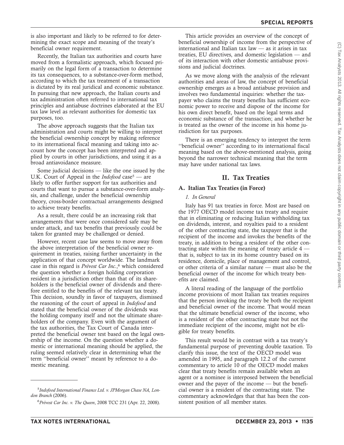is also important and likely to be referred to for determining the exact scope and meaning of the treaty's beneficial owner requirement.

Recently, the Italian tax authorities and courts have moved from a formalistic approach, which focused primarily on the legal form of a transaction to determine its tax consequences, to a substance-over-form method, according to which the tax treatment of a transaction is dictated by its real juridical and economic substance. In pursuing that new approach, the Italian courts and tax administration often referred to international tax principles and antiabuse doctrines elaborated at the EU tax law level as relevant authorities for domestic tax purposes, too.

The above approach suggests that the Italian tax administration and courts might be willing to interpret the beneficial ownership concept by making reference to its international fiscal meaning and taking into account how the concept has been interpreted and applied by courts in other jurisdictions, and using it as a broad antiavoidance measure.

Some judicial decisions — like the one issued by the U.K. Court of Appeal in the *Indofood* case<sup>5</sup> — are likely to offer further support for tax authorities and courts that want to pursue a substance-over-form analysis, and challenge, under the beneficial ownership theory, cross-border contractual arrangements designed to achieve treaty benefits.

As a result, there could be an increasing risk that arrangements that were once considered safe may be under attack, and tax benefits that previously could be taken for granted may be challenged or denied.

However, recent case law seems to move away from the above interpretation of the beneficial owner requirement in treaties, raising further uncertainty in the application of that concept worldwide. The landmark case in this regard is *Prévost Car Inc.*,6 which considered the question whether a foreign holding corporation resident in a jurisdiction other than that of its shareholders is the beneficial owner of dividends and therefore entitled to the benefits of the relevant tax treaty. This decision, soundly in favor of taxpayers, dismissed the reasoning of the court of appeal in *Indofood* and stated that the beneficial owner of the dividends was the holding company itself and not the ultimate shareholders of the company. Even with the argument of the tax authorities, the Tax Court of Canada interpreted the beneficial owner test based on the legal ownership of the income. On the question whether a domestic or international meaning should be applied, the ruling seemed relatively clear in determining what the term ''beneficial owner'' meant by reference to a domestic meaning.

This article provides an overview of the concept of beneficial ownership of income from the perspective of international and Italian tax law — as it arises in tax treaties, EU directives, and domestic legislation — and of its interaction with other domestic antiabuse provisions and judicial doctrines.

As we move along with the analysis of the relevant authorities and areas of law, the concept of beneficial ownership emerges as a broad antiabuse provision and involves two fundamental inquiries: whether the taxpayer who claims the treaty benefits has sufficient economic power to receive and dispose of the income for his own direct benefit, based on the legal terms and economic substance of the transaction; and whether he is treated as the owner of the income in his home jurisdiction for tax purposes.

There is an emerging tendency to interpret the term ''beneficial owner'' according to its international fiscal meaning based on the above-mentioned analysis, going beyond the narrower technical meaning that the term may have under national tax laws.

#### **II. Tax Treaties**

#### **A. Italian Tax Treaties (in Force)**

#### *1. In General*

Italy has 91 tax treaties in force. Most are based on the 1977 OECD model income tax treaty and require that in eliminating or reducing Italian withholding tax on dividends, interest, and royalties paid to a resident of the other contracting state, the taxpayer that is the recipient of the income and invokes the benefits of the treaty, in addition to being a resident of the other contracting state within the meaning of treaty article  $4$ that is, subject to tax in its home country based on its residence, domicile, place of management and control, or other criteria of a similar nature — must also be the beneficial owner of the income for which treaty benefits are claimed.

A literal reading of the language of the portfolio income provisions of most Italian tax treaties requires that the person invoking the treaty be both the recipient and beneficial owner of the income. That would mean that the ultimate beneficial owner of the income, who is a resident of the other contracting state but not the immediate recipient of the income, might not be eligible for treaty benefits.

This result would be in contrast with a tax treaty's fundamental purpose of preventing double taxation. To clarify this issue, the text of the OECD model was amended in 1995, and paragraph 12.2 of the current commentary to article 10 of the OECD model makes clear that treaty benefits remain available when an agent or a nominee is interposed between the beneficial owner and the payer of the income — but the beneficial owner is a resident of the contracting state. The commentary acknowledges that that has been the consistent position of all member states.

<sup>5</sup> *Indofood International Finance Ltd. v. JPMorgan Chase NA, London Branch* (2006).

<sup>6</sup> *Prévost Car Inc. v. The Queen*, 2008 TCC 231 (Apr. 22, 2008).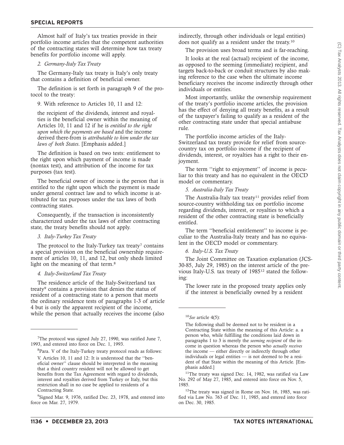Almost half of Italy's tax treaties provide in their portfolio income articles that the competent authorities of the contracting states will determine how tax treaty benefits for portfolio income will apply.

#### *2. Germany-Italy Tax Treaty*

The Germany-Italy tax treaty is Italy's only treaty that contains a definition of beneficial owner.

The definition is set forth in paragraph 9 of the protocol to the treaty:

9. With reference to Articles 10, 11 and 12:

the recipient of the dividends, interest and royalties is the beneficial owner within the meaning of Articles 10, 11 and 12 if he is *entitled to the right upon which the payments are based* and the income derived there-from is *attributable to him under the tax laws of both States*. [Emphasis added.]

The definition is based on two tests: entitlement to the right upon which payment of income is made (nontax test), and attribution of the income for tax purposes (tax test).

The beneficial owner of income is the person that is entitled to the right upon which the payment is made under general contract law and to which income is attributed for tax purposes under the tax laws of both contracting states.

Consequently, if the transaction is inconsistently characterized under the tax laws of either contracting state, the treaty benefits should not apply.

*3. Italy-Turkey Tax Treaty*

The protocol to the Italy-Turkey tax treaty<sup>7</sup> contains a special provision on the beneficial ownership requirement of articles 10, 11, and 12, but only sheds limited light on the meaning of that term.<sup>8</sup>

#### *4. Italy-Switzerland Tax Treaty*

The residence article of the Italy-Switzerland tax treaty9 contains a provision that denies the status of resident of a contracting state to a person that meets the ordinary residence tests of paragraphs 1-3 of article 4 but is only the apparent recipient of the income, while the person that actually receives the income (also

indirectly, through other individuals or legal entities) does not qualify as a resident under the treaty.10

The provision uses broad terms and is far-reaching.

It looks at the real (actual) recipient of the income, as opposed to the seeming (immediate) recipient, and targets back-to-back or conduit structures by also making reference to the case when the ultimate income beneficiary receives the income indirectly through other individuals or entities.

Most importantly, unlike the ownership requirement of the treaty's portfolio income articles, the provision has the effect of denying all treaty benefits, as a result of the taxpayer's failing to qualify as a resident of the other contracting state under that special antiabuse rule.

The portfolio income articles of the Italy-Switzerland tax treaty provide for relief from sourcecountry tax on portfolio income if the recipient of dividends, interest, or royalties has a right to their enjoyment.

The term "right to enjoyment" of income is peculiar to this treaty and has no equivalent in the OECD model or commentary.

*5. Australia-Italy Tax Treaty*

The Australia-Italy tax treaty<sup>11</sup> provides relief from source-country withholding tax on portfolio income regarding dividends, interest, or royalties to which a resident of the other contracting state is beneficially entitled.

The term ''beneficial entitlement'' to income is peculiar to the Australia-Italy treaty and has no equivalent in the OECD model or commentary.

#### *6. Italy-U.S. Tax Treaty*

The Joint Committee on Taxation explanation (JCS-30-85, July 29, 1985) on the interest article of the previous Italy-U.S. tax treaty of 198512 stated the following:

The lower rate in the proposed treaty applies only if the interest is beneficially owned by a resident

<sup>&</sup>lt;sup>7</sup>The protocol was signed July 27, 1990, was ratified June 7, 1993, and entered into force on Dec. 1, 1993.

<sup>&</sup>lt;sup>8</sup>Para. V of the Italy-Turkey treaty protocol reads as follows:

V. Articles 10, 11 and 12: It is understood that the ''beneficial owner'' clause should be interpreted in the meaning that a third country resident will not be allowed to get benefits from the Tax Agreement with regard to dividends, interest and royalties derived from Turkey or Italy, but this restriction shall in no case be applied to residents of a Contracting State.

<sup>&</sup>lt;sup>9</sup>Signed Mar. 9, 1976, ratified Dec. 23, 1978, and entered into force on Mar. 27, 1979.

<sup>10</sup>*See* article 4(5):

The following shall be deemed not to be resident in a Contracting State within the meaning of this Article: a. a person who, while fulfilling the conditions laid down in paragraphs 1 to 3 is merely the *seeming recipient* of the income in question whereas the person who *actually receives* the income — either directly or indirectly through other individuals or legal entities — is not deemed to be a resident of that State within the meaning of this Article. [Emphasis added.]

 $11$ The treaty was signed Dec. 14, 1982, was ratified via Law No. 292 of May 27, 1985, and entered into force on Nov. 5, 1985.

<sup>&</sup>lt;sup>12</sup>The treaty was signed in Rome on Nov. 16, 1985, was ratified via Law No. 763 of Dec. 11, 1985, and entered into force on Dec. 30, 1985.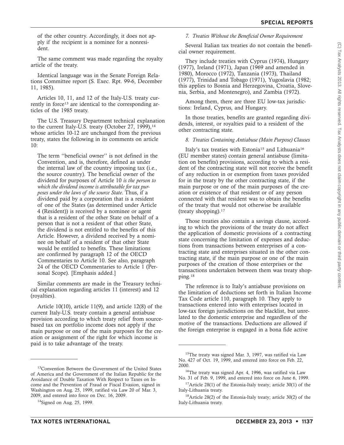of the other country. Accordingly, it does not apply if the recipient is a nominee for a nonresident.

The same comment was made regarding the royalty article of the treaty.

Identical language was in the Senate Foreign Relations Committee report (S. Exec. Rpt. 99-6, December 11, 1985).

Articles 10, 11, and 12 of the Italy-U.S. treaty currently in force<sup>13</sup> are identical to the corresponding articles of the 1985 treaty.

The U.S. Treasury Department technical explanation to the current Italy-U.S. treaty (October 27, 1999),<sup>14</sup> whose articles 10-12 are unchanged from the previous treaty, states the following in its comments on article  $10<sup>°</sup>$ 

The term ''beneficial owner'' is not defined in the Convention, and is, therefore, defined as under the internal law of the country imposing tax (i.e., the source country). The beneficial owner of the dividend for purposes of Article 10 *is the person to which the dividend income is attributable for tax purposes under the laws of the source State*. Thus, if a dividend paid by a corporation that is a resident of one of the States (as determined under Article 4 (Resident)) is received by a nominee or agent that is a resident of the other State on behalf of a person that is not a resident of that other State, the dividend is not entitled to the benefits of this Article. However, a dividend received by a nominee on behalf of a resident of that other State would be entitled to benefits. These limitations are confirmed by paragraph 12 of the OECD Commentaries to Article 10. See also, paragraph 24 of the OECD Commentaries to Article 1 (Personal Scope). [Emphasis added.]

Similar comments are made in the Treasury technical explanation regarding articles 11 (interest) and 12 (royalties).

Article 10(10), article 11(9), and article 12(8) of the current Italy-U.S. treaty contain a general antiabuse provision according to which treaty relief from sourcebased tax on portfolio income does not apply if the main purpose or one of the main purposes for the creation or assignment of the right for which income is paid is to take advantage of the treaty.

*7. Treaties Without the Beneficial Owner Requirement*

Several Italian tax treaties do not contain the beneficial owner requirement.

They include treaties with Cyprus (1974), Hungary (1977), Ireland (1971), Japan (1969 and amended in 1980), Morocco (1972), Tanzania (1973), Thailand (1977), Trinidad and Tobago (1971), Yugoslavia (1982; this applies to Bosnia and Herzegovina, Croatia, Slovenia, Serbia, and Montenegro), and Zambia (1972).

Among them, there are three EU low-tax jurisdictions: Ireland, Cyprus, and Hungary.

In those treaties, benefits are granted regarding dividends, interest, or royalties paid to a resident of the other contracting state.

#### *8. Treaties Containing Antiabuse (Main Purpose) Clauses*

Italy's tax treaties with Estonia<sup>15</sup> and Lithuania<sup>16</sup> (EU member states) contain general antiabuse (limitation on benefits) provisions, according to which a resident of the contracting state will not receive the benefit of any reduction in or exemption from taxes provided for in the treaty by the other contracting state, if the main purpose or one of the main purposes of the creation or existence of that resident or of any person connected with that resident was to obtain the benefits of the treaty that would not otherwise be available (treaty shopping).17

Those treaties also contain a savings clause, according to which the provisions of the treaty do not affect the application of domestic provisions of a contracting state concerning the limitation of expenses and deductions from transactions between enterprises of a contracting state and enterprises situated in the other contracting state, if the main purpose or one of the main purposes of the creation of those enterprises or the transactions undertaken between them was treaty shopping.18

The reference is to Italy's antiabuse provisions on the limitation of deductions set forth in Italian Income Tax Code article 110, paragraph 10. They apply to transactions entered into with enterprises located in low-tax foreign jurisdictions on the blacklist, but unrelated to the domestic enterprise and regardless of the motive of the transactions. Deductions are allowed if the foreign enterprise is engaged in a bona fide active

<sup>&</sup>lt;sup>13</sup>Convention Between the Government of the United States of America and the Government of the Italian Republic for the Avoidance of Double Taxation With Respect to Taxes on Income and the Prevention of Fraud or Fiscal Evasion, signed in Washington on Aug. 25, 1999, ratified via Law 20 of Mar. 3, 2009, and entered into force on Dec. 16, 2009.

<sup>&</sup>lt;sup>14</sup>Signed on Aug. 25, 1999.

<sup>&</sup>lt;sup>15</sup>The treaty was signed Mar. 3, 1997, was ratified via Law No. 427 of Oct. 19, 1999, and entered into force on Feb. 22, 2000.

<sup>&</sup>lt;sup>16</sup>The treaty was signed Apr. 4, 1996, was ratified via Law No. 31 of Feb. 9, 1999, and entered into force on June 6, 1999.

 $17$ Article 28(1) of the Estonia-Italy treaty; article 30(1) of the Italy-Lithuania treaty.

<sup>18</sup>Article 28(2) of the Estonia-Italy treaty; article 30(2) of the Italy-Lithuania treaty.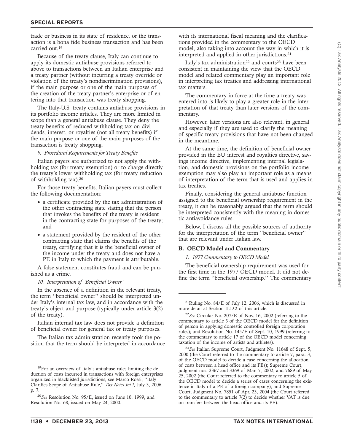trade or business in its state of residence, or the transaction is a bona fide business transaction and has been carried out.19

Because of the treaty clause, Italy can continue to apply its domestic antiabuse provisions referred to above to transactions between an Italian enterprise and a treaty partner (without incurring a treaty override or violation of the treaty's nondiscrimination provisions), if the main purpose or one of the main purposes of the creation of the treaty partner's enterprise or of entering into that transaction was treaty shopping.

The Italy-U.S. treaty contains antiabuse provisions in its portfolio income articles. They are more limited in scope than a general antiabuse clause. They deny the treaty benefits of reduced withholding tax on dividends, interest, or royalties (not all treaty benefits) if the main purpose or one of the main purposes of the transaction is treaty shopping.

#### *9. Procedural Requirements for Treaty Benefits*

Italian payers are authorized to not apply the withholding tax (for treaty exemption) or to charge directly the treaty's lower withholding tax (for treaty reduction of withholding tax).20

For those treaty benefits, Italian payers must collect the following documentation:

- a certificate provided by the tax administration of the other contracting state stating that the person that invokes the benefits of the treaty is resident in the contracting state for purposes of the treaty; and
- a statement provided by the resident of the other contracting state that claims the benefits of the treaty, certifying that it is the beneficial owner of the income under the treaty and does not have a PE in Italy to which the payment is attributable.

A false statement constitutes fraud and can be punished as a crime.

#### *10. Interpretation of 'Beneficial Owner'*

In the absence of a definition in the relevant treaty, the term ''beneficial owner'' should be interpreted under Italy's internal tax law, and in accordance with the treaty's object and purpose (typically under article 3(2) of the treaty).

Italian internal tax law does not provide a definition of beneficial owner for general tax or treaty purposes.

The Italian tax administration recently took the position that the term should be interpreted in accordance

with its international fiscal meaning and the clarifications provided in the commentary to the OECD model, also taking into account the way in which it is interpreted and applied in other jurisdictions.21

Italy's tax administration<sup>22</sup> and courts<sup>23</sup> have been consistent in maintaining the view that the OECD model and related commentary play an important role in interpreting tax treaties and addressing international tax matters.

The commentary in force at the time a treaty was entered into is likely to play a greater role in the interpretation of that treaty than later versions of the commentary.

However, later versions are also relevant, in general and especially if they are used to clarify the meaning of specific treaty provisions that have not been changed in the meantime.

At the same time, the definition of beneficial owner provided in the EU interest and royalties directive, savings income directive, implementing internal legislation, and domestic provisions on the portfolio income exemption may also play an important role as a means of interpretation of the term that is used and applies in tax treaties.

Finally, considering the general antiabuse function assigned to the beneficial ownership requirement in the treaty, it can be reasonably argued that the term should be interpreted consistently with the meaning in domestic antiavoidance rules.

Below, I discuss all the possible sources of authority for the interpretation of the term ''beneficial owner'' that are relevant under Italian law.

#### **B. OECD Model and Commentary**

*1. 1977 Commentary to OECD Model*

The beneficial ownership requirement was used for the first time in the 1977 OECD model. It did not define the term ''beneficial ownership.'' The commentary

<sup>19</sup>For an overview of Italy's antiabuse rules limiting the deduction of costs incurred in transactions with foreign enterprises organized in blacklisted jurisdictions, see Marco Rossi, ''Italy Clarifies Scope of Antiabuse Rule,'' *Tax Notes Int'l*, July 3, 2006, p. 7.

<sup>20</sup>*See* Resolution No. 95/E, issued on June 10, 1999, and Resolution No. 68, issued on May 24, 2000.

<sup>21</sup>Ruling No. 84/E of July 12, 2006, which is discussed in more detail at Section II.D.2 of this article.

<sup>22</sup>*See* Circular No. 207/E of Nov. 16, 2002 (referring to the commentary to article 3 of the OECD model for the definition of person in applying domestic controlled foreign corporation rules); and Resolution No. 145/E of Sept. 10, 1999 (referring to the commentary to article 17 of the OECD model concerning taxation of the income of artists and athletes).

<sup>23</sup>*See* Italian Supreme Court, Judgment No. 11648 of Sept. 5, 2000 (the Court referred to the commentary to article 7, para. 3, of the OECD model to decide a case concerning the allocation of costs between a head office and its PEs); Supreme Court, judgment nos. 3367 and 3369 of Mar. 7, 2002, and 7689 of May 25, 2002 (the Court referred to the commentary to article 5 of the OECD model to decide a series of cases concerning the existence in Italy of a PE of a foreign company); and Supreme Court, Judgment No. 7851 of Apr. 23, 2004 (the Court referred to the commentary to article 7(2) to decide whether VAT is due on transfers between the head office and its PE).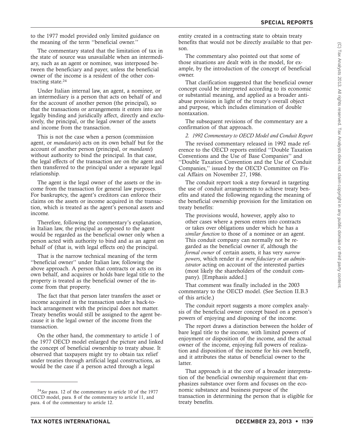to the 1977 model provided only limited guidance on the meaning of the term ''beneficial owner.''

The commentary stated that the limitation of tax in the state of source was unavailable when an intermediary, such as an agent or nominee, was interposed between the beneficiary and payer, unless the beneficial owner of the income is a resident of the other contracting state.24

Under Italian internal law, an agent, a nominee, or an intermediary is a person that acts on behalf of and for the account of another person (the principal), so that the transactions or arrangements it enters into are legally binding and juridically affect, directly and exclusively, the principal, or the legal owner of the assets and income from the transaction.

This is not the case when a person (commission agent, or *mandatario*) acts on its own behalf but for the account of another person (principal, or *mandante*) without authority to bind the principal. In that case, the legal effects of the transaction are on the agent and then transferred to the principal under a separate legal relationship.

The agent is the legal owner of the assets or the income from the transaction for general law purposes. For bankruptcy, the agent's creditors can enforce their claims on the assets or income acquired in the transaction, which is treated as the agent's personal assets and income.

Therefore, following the commentary's explanation, in Italian law, the principal as opposed to the agent would be regarded as the beneficial owner only when a person acted with authority to bind and as an agent on behalf of (that is, with legal effects on) the principal.

That is the narrow technical meaning of the term ''beneficial owner'' under Italian law, following the above approach. A person that contracts or acts on its own behalf, and acquires or holds bare legal title to the property is treated as the beneficial owner of the income from that property.

The fact that that person later transfers the asset or income acquired in the transaction under a back-toback arrangement with the principal does not matter. Treaty benefits would still be assigned to the agent because it is the legal owner of the income from the transaction.

On the other hand, the commentary to article 1 of the 1977 OECD model enlarged the picture and linked the concept of beneficial ownership to treaty abuse. It observed that taxpayers might try to obtain tax relief under treaties through artificial legal constructions, as would be the case if a person acted through a legal

entity created in a contracting state to obtain treaty benefits that would not be directly available to that person.

The commentary also pointed out that some of those situations are dealt with in the model, for example, by the introduction of the concept of beneficial owner.

That clarification suggested that the beneficial owner concept could be interpreted according to its economic or substantial meaning, and applied as a broader antiabuse provision in light of the treaty's overall object and purpose, which includes elimination of double nontaxation.

The subsequent revisions of the commentary are a confirmation of that approach.

*2. 1992 Commentary to OECD Model and Conduit Report*

The revised commentary released in 1992 made reference to the OECD reports entitled ''Double Taxation Conventions and the Use of Base Companies'' and ''Double Taxation Convention and the Use of Conduit Companies,'' issued by the OECD Committee on Fiscal Affairs on November 27, 1986.

The conduit report took a step forward in targeting the use of conduit arrangements to achieve treaty benefits and stated the following regarding the meaning of the beneficial ownership provision for the limitation on treaty benefits:

The provisions would, however, apply also to other cases where a person enters into contracts or takes over obligations under which he has a *similar function* to those of a nominee or an agent. This conduit company can normally not be regarded as the beneficial owner if, although the *formal owner* of certain assets, it has very *narrow powers*, which render it *a mere fiduciary or an administrator* acting on account of the interested parties (most likely the shareholders of the conduit company). [Emphasis added.]

That comment was finally included in the 2003 commentary to the OECD model. (See Section II.B.3 of this article.)

The conduit report suggests a more complex analysis of the beneficial owner concept based on a person's powers of enjoying and disposing of the income.

The report draws a distinction between the holder of bare legal title to the income, with limited powers of enjoyment or disposition of the income, and the actual owner of the income, enjoying full powers of realization and disposition of the income for his own benefit, and it attributes the status of beneficial owner to the latter.

That approach is at the core of a broader interpretation of the beneficial ownership requirement that emphasizes substance over form and focuses on the economic substance and business purpose of the transaction in determining the person that is eligible for treaty benefits.

<sup>24</sup>*See* para. 12 of the commentary to article 10 of the 1977 OECD model, para. 8 of the commentary to article 11, and para. 4 of the commentary to article 12.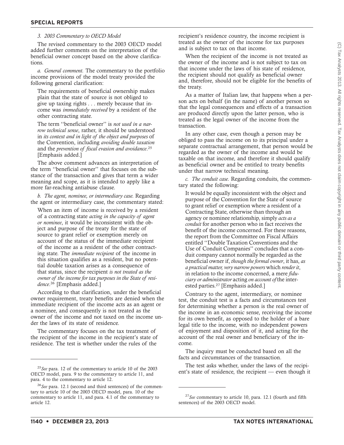*3. 2003 Commentary to OECD Model*

The revised commentary to the 2003 OECD model added further comments on the interpretation of the beneficial owner concept based on the above clarifications.

*a. General comment.* The commentary to the portfolio income provisions of the model treaty provided the following general clarification:

The requirements of beneficial ownership makes plain that the state of source is not obliged to give up taxing rights... merely because that income was *immediately received* by a resident of the other contracting state.

The term ''beneficial owner'' is *not used in a narrow technical sense*, rather, it should be understood in *its context and in light of the object and purposes* of the Convention, including *avoiding double taxation* and the *prevention of fiscal evasion and avoidance*.25 [Emphasis added.]

The above comment advances an interpretation of the term ''beneficial owner'' that focuses on the substance of the transaction and gives that term a wider meaning and scope, as it is intended to apply like a more far-reaching antiabuse clause.

*b. The agent, nominee, or intermediary case.* Regarding the agent or intermediary case, the commentary stated:

When an item of income is received by a resident of a contracting state *acting in the capacity of agent or nominee*, it would be inconsistent with the object and purpose of the treaty for the state of source to grant relief or exemption merely on account of the status of the immediate recipient of the income as a resident of the other contracting state. The *immediate recipient* of the income in this situation qualifies as a resident, but no potential double taxation arises as a consequence of that status, since the recipient *is not treated as the owner of the income for tax purposes in the State of residence*.26 [Emphasis added.]

According to that clarification, under the beneficial owner requirement, treaty benefits are denied when the immediate recipient of the income acts as an agent or a nominee, and consequently is not treated as the owner of the income and not taxed on the income under the laws of its state of residence.

The commentary focuses on the tax treatment of the recipient of the income in the recipient's state of residence. The test is whether under the rules of the

recipient's residence country, the income recipient is treated as the owner of the income for tax purposes and is subject to tax on that income.

When the recipient of the income is not treated as the owner of the income and is not subject to tax on that income under the laws of his state of residence, the recipient should not qualify as beneficial owner and, therefore, should not be eligible for the benefits of the treaty.

As a matter of Italian law, that happens when a person acts on behalf (in the name) of another person so that the legal consequences and effects of a transaction are produced directly upon the latter person, who is treated as the legal owner of the income from the transaction.

In any other case, even though a person may be obliged to pass the income on to its principal under a separate contractual arrangement, that person would be regarded as the owner of the income and would be taxable on that income, and therefore it should qualify as beneficial owner and be entitled to treaty benefits under that narrow technical meaning.

*c. The conduit case.* Regarding conduits, the commentary stated the following:

It would be equally inconsistent with the object and purpose of the Convention for the State of source to grant relief or exemption where a resident of a Contracting State, otherwise than through an agency or nominee relationship, simply *acts as a conduit* for another person who in fact receives the benefit of the income concerned. For these reasons, the report from the Committee on Fiscal Affairs entitled ''Double Taxation Conventions and the Use of Conduit Companies'' concludes that a conduit company cannot normally be regarded as the beneficial owner if, *though the formal owner*, it has, *as a practical matter, very narrow powers* which *render it*, in relation to the income concerned, a mere *fiduciary or administrator* acting *on account of* the interested parties.27 [Emphasis added.]

Contrary to the agent, intermediary, or nominee test, the conduit test is a facts and circumstances test for determining whether a person is the real owner of the income in an economic sense, receiving the income for its own benefit, as opposed to the holder of a bare legal title to the income, with no independent powers of enjoyment and disposition of it, and acting for the account of the real owner and beneficiary of the income.

The inquiry must be conducted based on all the facts and circumstances of the transaction.

The test asks whether, under the laws of the recipi-<sup>25</sup>See para. 12 of the commentary to article 10 of the 2003<br>CD model para. 0 to the commentary to article 11 and<br>CD model para. 0 to the commentary to article 11 and

OECD model, para. 9 to the commentary to article 11, and para. 4 to the commentary to article 12.

<sup>26</sup>*See* para. 12.1 (second and third sentences) of the commentary to article 10 of the 2003 OECD model, para. 10 of the commentary to article 11, and para. 4.1 of the commentary to article 12.

<sup>27</sup>*See* commentary to article 10, para. 12.1 (fourth and fifth sentences) of the 2003 OECD model.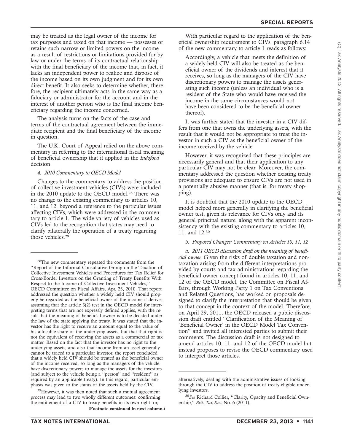may be treated as the legal owner of the income for tax purposes and taxed on that income — possesses or retains such narrow or limited powers on the income as a result of restrictions or limitations provided for by law or under the terms of its contractual relationship with the final beneficiary of the income that, in fact, it lacks an independent power to realize and dispose of the income based on its own judgment and for its own direct benefit. It also seeks to determine whether, therefore, the recipient ultimately acts in the same way as a fiduciary or administrator for the account and in the interest of another person who is the final income beneficiary regarding the income concerned.

The analysis turns on the facts of the case and terms of the contractual agreement between the immediate recipient and the final beneficiary of the income in question.

The U.K. Court of Appeal relied on the above commentary in referring to the international fiscal meaning of beneficial ownership that it applied in the *Indofood* decision.

#### *4. 2010 Commentary to OECD Model*

Changes to the commentary to address the position of collective investment vehicles (CIVs) were included in the 2010 update to the OECD model.28 There was no change to the existing commentary to articles 10, 11, and 12, beyond a reference to the particular issues affecting CIVs, which were addressed in the commentary to article 1. The wide variety of vehicles used as CIVs led to the recognition that states may need to clarify bilaterally the operation of a treaty regarding those vehicles.29

<sup>28</sup>The new commentary repeated the comments from the ''Report of the Informal Consultative Group on the Taxation of Collective Investment Vehicles and Procedures for Tax Relief for Cross-Border Investors on the Granting of Treaty Benefits With Respect to the Income of Collective Investment Vehicles,'' OECD Committee on Fiscal Affairs, Apr. 23, 2010. That report addressed the question whether a widely held CIV should properly be regarded as the beneficial owner of the income it derives, assuming that the article 3(2) test in the OECD model for interpreting terms that are not expressly defined applies, with the result that the meaning of beneficíal owner is to be decided under the law of the state applying the treaty. It was stated that the investor has the right to receive an amount equal to the value of his allocable share of the underlying assets, but that that right is not the equivalent of receiving the assets as a commercial or tax matter. Based on the fact that the investor has no right to the underlying assets, and also that income from an asset generally cannot be traced to a particular investor, the report concluded that a widely held CIV should be treated as the beneficial owner of the income received, so long as the managers of the vehicle have discretionary powers to manage the assets for the investors (and subject to the vehicle being a ''person'' and ''resident'' as required by an applicable treaty). In this regard, particular emphasis was given to the status of the assets held by the CIV.

 $^{29}$ However, it was then noted that such a mutual agreement process may lead to two wholly different outcomes: confirming the entitlement of a CIV to treaty benefits in its own right; or, **(Footnote continued in next column.)**

With particular regard to the application of the beneficial ownership requirement to CIVs, paragraph 6.14 of the new commentary to article 1 reads as follows:

Accordingly, a vehicle that meets the definition of a widely-held CIV will also be treated as the beneficial owner of the dividends and interest that it receives, so long as the managers of the CIV have discretionary powers to manage the assets generating such income (unless an individual who is a resident of the State who would have received the income in the same circumstances would not have been considered to be the beneficial owner thereof).

It was further stated that the investor in a CIV differs from one that owns the underlying assets, with the result that it would not be appropriate to treat the investor in such a CIV as the beneficial owner of the income received by the vehicle.

However, it was recognized that these principles are necessarily general and that their application to any particular CIV may not be clear. Moreover, the commentary addressed the question whether existing treaty provisions are adequate to ensure CIVs are not used in a potentially abusive manner (that is, for treaty shopping).

It is doubtful that the 2010 update to the OECD model helped more generally in clarifying the beneficial owner test, given its relevance for CIVs only and its general principal nature, along with the apparent inconsistency with the existing commentary to articles 10, 11, and 12.30

#### *5. Proposed Changes: Commentary on Articles 10, 11, 12*

*a. 2011 OECD discussion draft on the meaning of beneficial owner.* Given the risks of double taxation and nontaxation arising from the different interpretations provided by courts and tax administrations regarding the beneficial owner concept found in articles 10, 11, and 12 of the OECD model, the Committee on Fiscal Affairs, through Working Party 1 on Tax Conventions and Related Questions, has worked on proposals designed to clarify the interpretation that should be given to that concept in the context of the model. Therefore, on April 29, 2011, the OECD released a public discussion draft entitled ''Clarification of the Meaning of 'Beneficial Owner' in the OECD Model Tax Convention'' and invited all interested parties to submit their comments. The discussion draft is not designed to amend articles 10, 11, and 12 of the OECD model but instead proposes to revise the OECD commentary used to interpret those articles.

alternatively, dealing with the administrative issues of looking through the CIV to address the position of treaty-eligible underlying investors.

<sup>30</sup>*See* Richard Collier, ''Clarity, Opacity and Beneficial Ownership,'' *Brit. Tax Rev.* No. 6 (2011).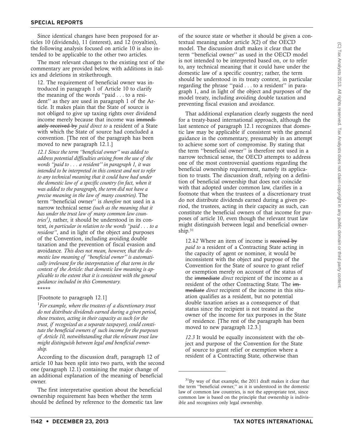Since identical changes have been proposed for articles 10 (dividends), 11 (interest), and 12 (royalties), the following analysis focused on article 10 is also intended to be applicable to the other two articles.

The most relevant changes to the existing text of the commentary are provided below, with additions in italics and deletions in strikethrough.

12. The requirement of beneficial owner was introduced in paragraph 1 of Article 10 to clarify the meaning of the words ''paid . . . to a resident'' as they are used in paragraph 1 of the Article. It makes plain that the State of source is not obliged to give up taxing rights over dividend income merely because that income was immediately received by *paid direct to* a resident of a State with which the State of source had concluded a convention. [The rest of the paragraph has been moved to new paragraph 12.1.]

*12.1 Since the term ''beneficial owner'' was added to address potential difficulties arising from the use of the words ''paid to...aresident'' in paragraph 1, it was intended to be interpreted in this context and not to refer to any technical meaning that it could have had under the domestic law of a specific country (in fact, when it was added to the paragraph, the term did not have a precise meaning in the law of many countries)*. The term ''beneficial owner'' is *therefore* not used in a narrow technical sense *(such as the meaning that it has under the trust law of many common law coun*tries<sup>1</sup>), rather, it should be understood in its context*, in particular in relation to the words ''paid . . . to a resident''*, and in light of the object and purposes of the Convention, including avoiding double taxation and the prevention of fiscal evasion and avoidance. *This does not mean, however, that the domestic law meaning of ''beneficial owner'' is automatically irrelevant for the interpretation of that term in the context of the Article: that domestic law meaning is applicable to the extent that it is consistent with the general guidance included in this Commentary.* \*\*\*\*\*

#### [Footnote to paragraph 12.1]

1 *For example, where the trustees of a discretionary trust do not distribute dividends earned during a given period, these trustees, acting in their capacity as such (or the trust, if recognized as a separate taxpayer), could constitute the beneficial owners of such income for the purposes of Article 10, notwithstanding that the relevant trust law might distinguish between legal and beneficial ownership.*

According to the discussion draft, paragraph 12 of article 10 has been split into two parts, with the second one (paragraph 12.1) containing the major change of an additional explanation of the meaning of beneficial owner.

The first interpretative question about the beneficial ownership requirement has been whether the term should be defined by reference to the domestic tax law of the source state or whether it should be given a contextual meaning under article 3(2) of the OECD model. The discussion draft makes it clear that the term ''beneficial owner'' as used in the OECD model is not intended to be interpreted based on, or to refer to, any technical meaning that it could have under the domestic law of a specific country; rather, the term should be understood in its treaty context, in particular regarding the phrase ''paid . . . to a resident'' in paragraph 1, and in light of the object and purposes of the model treaty, including avoiding double taxation and preventing fiscal evasion and avoidance.

That additional explanation clearly suggests the need for a treaty-based international approach, although the last sentence of paragraph 12.1 recognizes that domestic law may be applicable if consistent with the general guidance in the commentary, presumably in an attempt to achieve some sort of compromise. By stating that the term ''beneficial owner'' is therefore not used in a narrow technical sense, the OECD attempts to address one of the most controversial questions regarding the beneficial ownership requirement, namely its application to trusts. The discussion draft, relying on a definition of beneficial ownership that does not coincide with that adopted under common law, clarifies in a footnote that when the trustees of a discretionary trust do not distribute dividends earned during a given period, the trustees, acting in their capacity as such, can constitute the beneficial owners of that income for purposes of article 10, even though the relevant trust law might distinguish between legal and beneficial ownership.<sup>31</sup>

12.1*2* Where an item of income is received by *paid to* a resident of a Contracting State acting in the capacity of agent or nominee, it would be inconsistent with the object and purpose of the Convention for the State of source to grant relief or exemption merely on account of the status of the immediate *direct* recipient of the income as a resident of the other Contracting State. The immediate *direct* recipient of the income in this situation qualifies as a resident, but no potential double taxation arises as a consequence of that status since the recipient is not treated as the owner of the income for tax purposes in the State of residence. [The rest of the paragraph has been moved to new paragraph 12.3.]

*12.3* It would be equally inconsistent with the object and purpose of the Convention for the State of source to grant relief or exemption where a resident of a Contracting State, otherwise than

 $31\text{By}$  way of that example, the 2011 draft makes it clear that the term ''beneficial owner,'' as it is understood in the domestic law of common law countries, is not the appropriate test, since common law is based on the principle that ownership is indivisible and recognizes only legal ownership.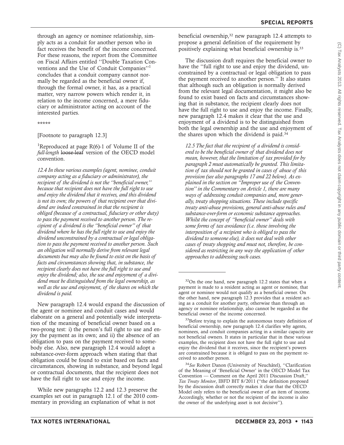through an agency or nominee relationship, simply acts as a conduit for another person who in fact receives the benefit of the income concerned. For these reasons, the report from the Committee on Fiscal Affairs entitled ''Double Taxation Conventions and the Use of Conduit Companies''1 concludes that a conduit company cannot normally be regarded as the beneficial owner if, through the formal owner, it has, as a practical matter, very narrow powers which render it, in relation to the income concerned, a mere fiduciary or administrator acting on account of the interested parties.

\*\*\*\*\*

[Footnote to paragraph 12.3]

<sup>1</sup>Reproduced at page R(6)-1 of Volume II of the *full-length* loose-leaf version of the OECD model convention.

*12.4 In these various examples (agent, nominee, conduit company acting as a fiduciary or administrator), the recipient of the dividend is not the ''beneficial owner,'' because that recipient does not have the full right to use and enjoy the dividend that it receives, and this dividend is not its own; the powers of that recipient over that dividend are indeed constrained in that the recipient is obliged (because of a contractual, fiduciary or other duty) to pass the payment received to another person. The recipient of a dividend is the ''beneficial owner'' of that dividend where he has the full right to use and enjoy the dividend unconstrained by a contractual or legal obligation to pass the payment received to another person. Such an obligation will normally derive from relevant legal documents but may also be found to exist on the basis of facts and circumstances showing that, in substance, the recipient clearly does not have the full right to use and enjoy the dividend; also, the use and enjoyment of a dividend must be distinguished from the legal ownership, as well as the use and enjoyment, of the shares on which the dividend is paid.*

New paragraph 12.4 would expand the discussion of the agent or nominee and conduit cases and would elaborate on a general and potentially wide interpretation of the meaning of beneficial owner based on a two-prong test: i) the person's full right to use and enjoy the payment as its own; and ii) the absence of an obligation to pass on the payment received to somebody else. Also, new paragraph 12.4 would adopt a substance-over-form approach when stating that that obligation could be found to exist based on facts and circumstances, showing in substance, and beyond legal or contractual documents, that the recipient does not have the full right to use and enjoy the income.

While new paragraphs 12.2 and 12.3 preserve the examples set out in paragraph 12.1 of the 2010 commentary in providing an explanation of what is not

beneficial ownership,32 new paragraph 12.4 attempts to propose a general definition of the requirement by positively explaining what beneficial ownership is.33

The discussion draft requires the beneficial owner to have the ''full right to use and enjoy the dividend, unconstrained by a contractual or legal obligation to pass the payment received to another person.'' It also states that although such an obligation is normally derived from the relevant legal documentation, it might also be found to exist based on facts and circumstances showing that in substance, the recipient clearly does not have the full right to use and enjoy the income. Finally, new paragraph 12.4 makes it clear that the use and enjoyment of a dividend is to be distinguished from both the legal ownership and the use and enjoyment of the shares upon which the dividend is paid.34

*12.5 The fact that the recipient of a dividend is considered to be the beneficial owner of that dividend does not mean, however, that the limitation of tax provided for by paragraph 2 must automatically be granted. This limitation of tax should not be granted in cases of abuse of this provision (see also paragraphs 17 and 22 below). As explained in the section on ''Improper use of the Convention'' in the Commentary on Article 1, there are many ways of addressing conduit companies and, more generally, treaty shopping situations. These include specific treaty anti-abuse provisions, general anti-abuse rules and substance-over-form or economic substance approaches. Whilst the concept of ''beneficial owner'' deals with some forms of tax avoidance (i.e. those involving the interposition of a recipient who is obliged to pass the dividend to someone else), it does not deal with other cases of treaty shopping and must not, therefore, be considered as restricting in any way the application of other approaches to addressing such cases.*

 $32$ On the one hand, new paragraph 12.2 states that when a payment is made to a resident acting as agent or nominee, that agent or nominee would not qualify as a beneficial owner. On the other hand, new paragraph 12.3 provides that a resident acting as a conduit for another party, otherwise than through an agency or nominee relationship, also cannot be regarded as the beneficial owner of the income concerned.

<sup>&</sup>lt;sup>33</sup>Before trying to explain the autonomous treaty definition of beneficial ownership, new paragraph 12.4 clarifies why agents, nominees, and conduit companies acting in a similar capacity are not beneficial owners. It states in particular that in these various examples, the recipient does not have the full right to use and enjoy the dividend that it receives, since the recipient's powers are constrained because it is obliged to pass on the payment received to another person.

<sup>34</sup>*See* Robert Danon (University of Neuchâtel), ''Clarification of the Meaning of 'Beneficial Owner' in the OECD Model Tax Convention — Comment on the April 2011 Discussion Draft,'' *Tax Treaty Monitor*, IBFD BIT 8/2011 (''the definition proposed by the discussion draft correctly makes it clear that the OECD Model only refers to the beneficial owner of an item of income. Accordingly, whether or not the recipient of the income is also the owner of the underlying asset is not decisive'').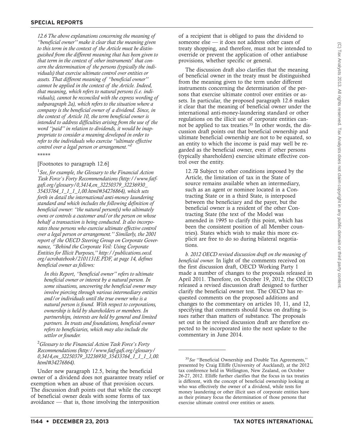#### **SPECIAL REPORTS**

*12.6 The above explanations concerning the meaning of ''beneficial owner'' make it clear that the meaning given to this term in the context of the Article must be distinguished from the different meaning that has been given to that term in the context of other instruments<sup>1</sup> that concern the determination of the persons (typically the individuals) that exercise ultimate control over entities or assets. That different meaning of ''beneficial owner'' cannot be applied in the context of the Article. Indeed, that meaning, which refers to natural persons (i.e. individuals), cannot be reconciled with the express wording of subparagraph 2a), which refers to the situation where a company is the beneficial owner of a dividend. Since, in the context of Article 10, the term beneficial owner is intended to address difficulties arising from the use of the word ''paid'' in relation to dividends, it would be inappropriate to consider a meaning developed in order to refer to the individuals who exercise ''ultimate effective control over a legal person or arrangement.''2* \*\*\*\*\*

#### [Footnotes to paragraph 12.6]

1 *See, for example, the Glossary to the Financial Action Task Force's Forty Recommendations (http://www.fatfgafi.org/glossary/0,3414,en\_32250379\_32236930\_ 35433764\_1\_1\_1\_1,00.html#34276864), which sets forth in detail the international anti-money laundering standard and which includes the following definition of beneficial owner: ''the natural person(s) who ultimately owns or controls a customer and/or the person on whose behalf a transaction is being conducted. It also incorporates those persons who exercise ultimate effective control over a legal person or arrangement.'' Similarly, the 2001 report of the OECD Steering Group on Corporate Governance, ''Behind the Corporate Veil: Using Corporate Entities for Illicit Purposes,'' http://publications.oecd. org/acrobatebook/2101131E.PDF, at page 14, defines beneficial owner as follows:*

*In this Report, ''beneficial owner'' refers to ultimate beneficial owner or interest by a natural person. In some situations, uncovering the beneficial owner may involve piercing through various intermediary entities and/or individuals until the true owner who is a natural person is found. With respect to corporations, ownership is held by shareholders or members. In partnerships, interests are held by general and limited partners. In trusts and foundations, beneficial owner refers to beneficiaries, which may also include the settlor or founder.*

2 *Glossary to the Financial Action Task Force's Forty Recommendations (http://www.fatf-gafi.org/glossary/ 0,3414,en\_32250379\_32236930\_35433764\_1\_1\_1\_1,00. html#34276864).*

Under new paragraph 12.5, being the beneficial owner of a dividend does not guarantee treaty relief or exemption when an abuse of that provision occurs. The discussion draft points out that while the concept of beneficial owner deals with some forms of tax avoidance — that is, those involving the interposition

of a recipient that is obliged to pass the dividend to someone else — it does not address other cases of treaty shopping, and therefore, must not be intended to override or prevent the application of other antiabuse provisions, whether specific or general.

The discussion draft also clarifies that the meaning of beneficial owner in the treaty must be distinguished from the meaning given to the term under different instruments concerning the determination of the persons that exercise ultimate control over entities or assets. In particular, the proposed paragraph 12.6 makes it clear that the meaning of beneficial owner under the international anti-money-laundering standard or other regulations on the illicit use of corporate entities cannot be applied to tax treaties.35 In other words, the discussion draft points out that beneficial ownership and ultimate beneficial ownership are not to be equated, so an entity to which the income is paid may well be regarded as the beneficial owner, even if other persons (typically shareholders) exercise ultimate effective control over the entity.

12.*7*2 Subject to other conditions imposed by the Article, the limitation of tax in the State of source remains available when an intermediary, such as an agent or nominee located in a Contracting State or in a third State, is interposed between the beneficiary and the payer, but the beneficial owner is a resident of the other Contracting State (the text of the Model was amended in 1995 to clarify this point, which has been the consistent position of all Member countries). States which wish to make this more explicit are free to do so during bilateral negotiations.

*b. 2012 OECD revised discussion draft on the meaning of beneficial owner.* In light of the comments received on the first discussion draft, OECD Working Party 1 made a number of changes to the proposals released in April 2011. Therefore, on October 19, 2012, the OECD released a revised discussion draft designed to further clarify the beneficial owner test. The OECD has requested comments on the proposed additions and changes to the commentary on articles 10, 11, and 12, specifying that comments should focus on drafting issues rather than matters of substance. The proposals set out in the revised discussion draft are therefore expected to be incorporated into the next update to the commentary in June 2014.

<sup>35</sup>*See* ''Beneficial Ownership and Double Tax Agreements,'' presented by Craig Elliffe (University of Auckland), at the 2012 tax conference held in Wellington, New Zealand, on October 26-27, 2012. Elliffe further clarifies that the focus in tax treaties is different, with the concept of beneficial ownership looking at who was effectively the owner of a dividend, while tests for money laundering or other illicit uses of corporate entities have as their primary focus the determination of those persons that exercise ultimate control over entities or assets.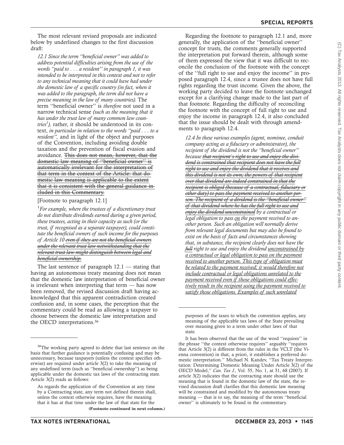The most relevant revised proposals are indicated below by underlined changes to the first discussion draft:

*12.1 Since the term ''beneficial owner'' was added to address potential difficulties arising from the use of the words ''paid to...aresident'' in paragraph 1, it was intended to be interpreted in this context and not to refer to any technical meaning that it could have had under the domestic law of a specific country (in fact, when it was added to the paragraph, the term did not have a precise meaning in the law of many countries).* The term ''beneficial owner'' is *therefore* not used in a narrow technical sense *(such as the meaning that it has under the trust law of many common law coun*tries<sup>1</sup>), rather, it should be understood in its context, *in particular in relation to the words ''paid . . . to a resident'',* and in light of the object and purposes of the Convention, including avoiding double taxation and the prevention of fiscal evasion and avoidance. This does not mean, however, that the domestic law meaning of ''beneficial owner'' is automatically irrelevant for the interpretation of that term in the context of the Article: that domestic law meaning is applicable to the extent that it is consistent with the general guidance included in this Commentary.

#### [Footnote to paragraph 12.1]

1 *For example, where the trustees of a discretionary trust do not distribute dividends earned during a given period, these trustees, acting in their capacity as such (or the trust, if recognised as a separate taxpayer), could constitute the beneficial owners of such income for the purposes of Article 10 even if they are not the beneficial owners under the relevant trust law notwithstanding that the relevant trust law might distinguish between legal and beneficial ownership.*

The last sentence of paragraph  $12.1$  — stating that having an autonomous treaty meaning does not mean that the domestic law interpretation of beneficial owner is irrelevant when interpreting that term — has now been removed, the revised discussion draft having acknowledged that this apparent contradiction created confusion and, in some cases, the perception that the commentary could be read as allowing a taxpayer to choose between the domestic law interpretation and the OECD interpretations.36

Regarding the footnote to paragraph 12.1 and, more generally, the application of the ''beneficial owner'' concept for trusts, the comments generally supported the interpretation put forward therein, although some of them expressed the view that it was difficult to reconcile the conclusion of the footnote with the concept of the ''full right to use and enjoy the income'' in proposed paragraph 12.4, since a trustee does not have full rights regarding the trust income. Given the above, the working party decided to leave the footnote unchanged except for a clarifying change made to the last part of that footnote. Regarding the difficulty of reconciling the footnote with the concept of full right to use and enjoy the income in paragraph 12.4, it also concluded that the issue should be dealt with through amendments to paragraph 12.4.

*12.4 In these various examples (agent, nominee, conduit company acting as a fiduciary or administrator), the recipient of the dividend is not the ''beneficial owner'' because that recipient's right to use and enjoy the dividend is constrained that recipient does not have the full right to use and enjoy the dividend that it receives and this dividend is not its own; the powers of that recipient over that dividend are indeed constrained in that the recipient is obliged (because of a contractual, fiduciary or other duty) to pass the payment received to another person. The recipient of a dividend is the ''beneficial owner'' of that dividend where he has the full right to use and enjoy the dividend unconstrained by a contractual or legal obligation to pass on the payment received to another person. Such an obligation will normally derive from relevant legal documents but may also be found to exist on the basis of facts and circumstances showing that, in substance, the recipient clearly does not have the full right to use and enjoy the dividend unconstrained by a contractual or legal obligation to pass on the payment received to another person. This type of obligation must be related to the payment received; it would therefore not include contractual or legal obligations unrelated to the payment received even if those obligations could effectively result in the recipient using the payment received to satisfy those obligations. Examples of such unrelated*

<sup>&</sup>lt;sup>36</sup>The working party agreed to delete that last sentence on the basis that further guidance is potentially confusing and may be unnecessary, because taxpayers (unless the context specifies otherwise) are required under article 3(2) to take the meaning of any undefined term (such as ''beneficial ownership'') as being applicable under the domestic tax laws of the contracting state. Article 3(2) reads as follows:

As regards the application of the Convention at any time by a Contracting state, any term not defined therein shall, unless the context otherwise requires, have the meaning that it has at that time under the law of that state for the **(Footnote continued in next column.)**

purposes of the taxes to which the convention applies, any meaning of the applicable tax laws of the State prevailing over meaning given to a term under other laws of that state.

It has been observed that the use of the word ''requires'' in the phrase ''the context otherwise requires'' arguably ''requires that Article 3(2) is different from the rules in the VCLT (the Vienna convention) in that, a priori, it establishes a preferred domestic interpretation.'' Michael N. Kandev, ''Tax Treaty Interpretation: Determining Domestic Meaning Under Article 3(2) of the OECD Model,'' *Can. Tax J.*, Vol. 55, No. 1, at 31, 68 (2007). If article 3(2) indicates that the contracting state should use the meaning that is found in the domestic law of the state, the revised discussion draft clarifies that this domestic law meaning will be constrained and modified by the autonomous treaty meaning — that is to say, the meaning of the term ''beneficial owner'' is ultimately to be found in the commentary.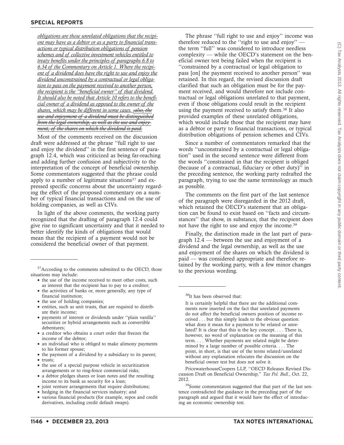*obligations are those unrelated obligations that the recipient may have as a debtor or as a party to financial transactions or typical distribution obligations of pension schemes and of collective investment vehicles entitled to treaty benefits under the principles of paragraphs 6.8 to 6.34 of the Commentary on Article 1. Where the recipient of a dividend does have the right to use and enjoy the dividend unconstrained by a contractual or legal obligation to pass on the payment received to another person, the recipient is the ''beneficial owner'' of that dividend. It should also be noted that Article 10 refers to the beneficial owner of a dividend as opposed to the owner of the shares, which may be different in some cases. ;also, the use and enjoyment of a dividend must be distinguished from the legal ownership, as well as the use and enjoyment, of the shares on which the dividend is paid.*

Most of the comments received on the discussion draft were addressed at the phrase ''full right to use and enjoy the dividend'' in the first sentence of paragraph 12.4, which was criticized as being far-reaching and adding further confusion and subjectivity to the interpretation of the concept of beneficial ownership. Some commentators suggested that the phrase could apply to a number of legitimate situations<sup>37</sup> and expressed specific concerns about the uncertainty regarding the effect of the proposed commentary on a number of typical financial transactions and on the use of holding companies, as well as CIVs.

In light of the above comments, the working party recognized that the drafting of paragraph 12.4 could give rise to significant uncertainty and that it needed to better identify the kinds of obligations that would mean that the recipient of a payment would not be considered the beneficial owner of that payment.

- the activities of banks or, more generally, any type of financial institution;
- the use of holding companies;
- entities, such as unit trusts, that are required to distribute their income;
- payments of interest or dividends under ''plain vanilla'' securities or hybrid arrangements such as convertible debentures;
- a creditor who obtains a court order that freezes the income of the debtor;
- an individual who is obliged to make alimony payments to his former spouse;
- the payment of a dividend by a subsidiary to its parent;
- trusts;
- the use of a special purpose vehicle in securitization arrangements or to ring-fence commercial risks;
- a debtor pledges shares or loan notes and the resulting income to its bank as security for a loan;
- joint venture arrangements that require distributions;
- hedging in the financial services industry; and
- various financial products (for example, repos and credit derivatives, including credit default swaps).

The phrase ''full right to use and enjoy'' income was therefore reduced to the ''right to use and enjoy'' the term ''full'' was considered to introduce needless complexity — while the OECD's statement on the beneficial owner test being failed when the recipient is ''constrained by a contractual or legal obligation to pass [on] the payment received to another person'' was retained. In this regard, the revised discussion draft clarified that such an obligation must be for the payment received, and would therefore not include contractual or legal obligations unrelated to that payment, even if those obligations could result in the recipient using the payment received to satisfy them.38 It also provided examples of these unrelated obligations, which would include those that the recipient may have as a debtor or party to financial transactions, or typical distribution obligations of pension schemes and CIVs.

Since a number of commentators remarked that the words ''unconstrained by a contractual or legal obligation'' used in the second sentence were different from the words ''constrained in that the recipient is obliged (because of a contractual, fiduciary or other duty)'' in the preceding sentence, the working party redrafted the paragraph, trying to use the same terminology as much as possible.

The comments on the first part of the last sentence of the paragraph were disregarded in the 2012 draft, which retained the OECD's statement that an obligation can be found to exist based on ''facts and circumstances'' that show, in substance, that the recipient does not have the right to use and enjoy the income.39

Finally, the distinction made in the last part of paragraph 12.4 — between the use and enjoyment of a dividend and the legal ownership, as well as the use and enjoyment of the shares on which the dividend is paid — was considered appropriate and therefore retained by the working party, with a few minor changes

38It has been observed that:

It is certainly helpful that there are the additional comments now inserted on the fact that unrelated payments do not affect the beneficial owners position of income received . . . but this simply leads to the obvious question: what does it mean for a payment to be related or unrelated? It is clear that this is the key concept.... There is, however, no word of explanation on the meaning of this term. . . . Whether payments are related might be determined by a large number of possible criteria. . . . The point, in short, is that use of the terms related/unrelated without any explanation relocates the discussion on the beneficial owner test but does not solve it.

PricewaterhouseCoopers LLP, ''OECD Releases Revised Discussion Draft on Beneficial Ownership,'' *Tax Pol. Bull.*, Oct. 22, 2012.

<sup>&</sup>lt;sup>37</sup>According to the comments submitted to the OECD, those to the previous wording. situations may include:

<sup>•</sup> the use of the income received to meet other costs, such as interest that the recipient has to pay to a creditor;

<sup>&</sup>lt;sup>39</sup>Some commentators suggested that that part of the last sentence contradicted the guidance in the preceding part of the paragraph and argued that it would have the effect of introducing an economic ownership test.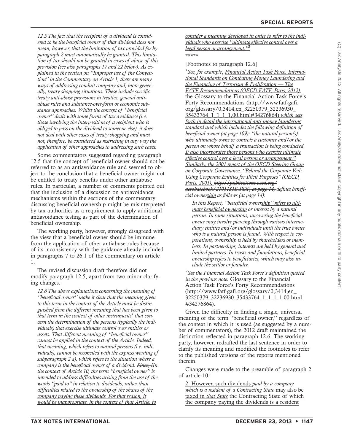*12.5 The fact that the recipient of a dividend is considered to be the beneficial owner of that dividend does not mean, however, that the limitation of tax provided for by paragraph 2 must automatically be granted. This limitation of tax should not be granted in cases of abuse of this provision (see also paragraphs 17 and 22 below). As explained in the section on ''Improper use of the Convention'' in the Commentary on Article 1, there are many ways of addressing conduit company and, more generally, treaty shopping situations. These include specific treaty anti-abuse provisions in treaties, general antiabuse rules and substance-over-form or economic substance approaches. Whilst the concept of ''beneficial owner'' deals with some forms of tax avoidance (i.e. those involving the interposition of a recipient who is obliged to pass on the dividend to someone else), it does not deal with other cases of treaty shopping and must not, therefore, be considered as restricting in any way the application of other approaches to addressing such cases.*

Some commentators suggested regarding paragraph 12.5 that the concept of beneficial owner should not be referred to as an antiavoidance rule and seemed to object to the conclusion that a beneficial owner might not be entitled to treaty benefits under other antiabuse rules. In particular, a number of comments pointed out that the inclusion of a discussion on antiavoidance mechanisms within the sections of the commentary discussing beneficial ownership might be misinterpreted by tax authorities as a requirement to apply additional antiavoidance testing as part of the determination of beneficial ownership.

The working party, however, strongly disagreed with the view that a beneficial owner should be immune from the application of other antiabuse rules because of its inconsistency with the guidance already included in paragraphs 7 to 26.1 of the commentary on article 1.

The revised discussion draft therefore did not modify paragraph 12.5, apart from two minor clarifying changes.

*12.6 The above explanations concerning the meaning of ''beneficial owner'' make it clear that the meaning given to this term in the context of the Article must be distinguished from the different meaning that has been given to that term in the context of other instruments<sup>1</sup> that concern the determination of the persons (typically the individuals) that exercise ultimate control over entities or assets. That different meaning of ''beneficial owner'' cannot be applied in the context of the Article. Indeed, that meaning, which refers to natural persons (i.e. individuals), cannot be reconciled with the express wording of subparagraph 2 a), which refers to the situation where a company is the beneficial owner of a dividend. Since, iIn the context of Article 10, the term ''beneficial owner'' is intended to address difficulties arising from the use of the words ''paid to'' in relation to dividends, rather than difficulties related to the ownership of the shares of the company paying these dividends. For that reason, it would be inappropriate, in the context of that Article, to*

*consider a meaning developed in order to refer to the individuals who exercise ''ultimate effective control over a legal person or arrangement.''*<sup>2</sup> \*\*\*\*\*

#### [Footnotes to paragraph 12.6]

*1 See, for example*, *Financial Action Task Force, International Standards on Combating Money Laundering and the Financing of Terrorism & Proliferation — The FATF Recommendations (OECD-FATF, Paris, 2012),* the Glossary to the Financial Action Task Force's Forty Recommendations (http://www.fatf-gafi. org/glossary/0,3414,en\_32250379\_32236930\_ 35433764\_1\_1\_1\_1,00.html#34276864) *which sets forth in detail the international anti-money laundering standard and which includes the following definition of beneficial owner (at page 109): ''the natural person(s) who ultimately owns or controls a customer and/or the person on whose behalf a transaction is being conducted. It also incorporates those persons who exercise ultimate effective control over a legal person or arrangement.'' Similarly, the 2001 report of the OECD Steering Group on Corporate Governance, ''Behind the Corporate Veil: Using Corporate Entities for Illicit Purposes'' (OECD, Paris, 2001), http://publications.oecd.org/ acrobatebook/2101131E.PDF, at page 14, defines beneficial ownership as follows (at page 14):*

*In this Report, ''beneficial ownership'' refers to ultimate beneficial ownership or interest by a natural person. In some situations, uncovering the beneficial owner may involve piercing through various intermediary entities and/or individuals until the true owner who is a natural person is found. With respect to corporations, ownership is held by shareholders or members. In partnerships, interests are held by general and limited partners. In trusts and foundations, beneficial ownership refers to beneficiaries, which may also include the settlor or founder.*

*2 See the Financial Action Task Force's definition quoted in the previous note.* Glossary to the Financial Action Task Force's Forty Recommendations (http://www.fatf-gafi.org/glossary/0,3414,en\_ 32250379\_32236930\_35433764\_1\_1\_1\_1,00.html #34276864).

Given the difficulty in finding a single, universal meaning of the term ''beneficial owner,'' regardless of the context in which it is used (as suggested by a number of commentators), the 2012 draft maintained the distinction reflected in paragraph 12.6. The working party, however, redrafted the last sentence in order to clarify its meaning and modified the footnotes to refer to the published versions of the reports mentioned therein.

Changes were made to the preamble of paragraph 2 of article 10:

2. However, such dividends *paid by a company which is a resident of a Contracting State* may also be taxed in *that State* the Contracting State of which the company paying the dividends is a resident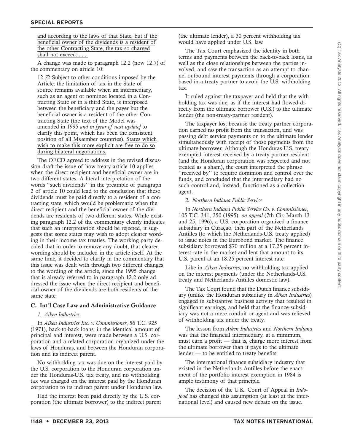and according to the laws of that State, but if the beneficial owner of the dividends is a resident of the other Contracting State, the tax so charged shall not exceed:...

A change was made to paragraph 12.2 (now 12.7) of the commentary on article 10:

12.*7*2 Subject to other conditions imposed by the Article, the limitation of tax in the State of source remains available when an intermediary, such as an agent or nominee located in a Contracting State or in a third State, is interposed between the beneficiary and the payer but the beneficial owner is a resident of the other Contracting State (the text of the Model was amended in 1995 *and in [year of next update]* to clarify this point, which has been the consistent position of all M*m*ember countries). States which wish to make this more explicit are free to do so during bilateral negotiations.

The OECD agreed to address in the revised discussion draft the issue of how treaty article 10 applies when the direct recipient and beneficial owner are in two different states. A literal interpretation of the words ''such dividends'' in the preamble of paragraph 2 of article 10 could lead to the conclusion that these dividends must be paid directly to a resident of a contracting state, which would be problematic when the direct recipient and the beneficial owner of the dividends are residents of two different states. While existing paragraph 12.2 of the commentary clearly indicates that such an interpretation should be rejected, it suggests that some states may wish to adopt clearer wording in their income tax treaties. The working party decided that in order to remove any doubt, that clearer wording should be included in the article itself. At the same time, it decided to clarify in the commentary that this issue was dealt with through two different changes to the wording of the article, since the 1995 change that is already referred to in paragraph 12.2 only addressed the issue when the direct recipient and beneficial owner of the dividends are both residents of the same state.

#### **C. Int**'**l Case Law and Administrative Guidance**

#### *1. Aiken Industries*

In *Aiken Industries Inc. v. Commissioner*, 56 T.C. 925 (1971), back-to-back loans, in the identical amount of principal and interest, were made between a U.S. corporation and a related corporation organized under the laws of Honduras, and between the Honduran corporation and its indirect parent.

No withholding tax was due on the interest paid by the U.S. corporation to the Honduran corporation under the Honduras-U.S. tax treaty, and no withholding tax was charged on the interest paid by the Honduran corporation to its indirect parent under Honduran law.

Had the interest been paid directly by the U.S. corporation (the ultimate borrower) to the indirect parent (the ultimate lender), a 30 percent withholding tax would have applied under U.S. law.

The Tax Court emphasized the identity in both terms and payments between the back-to-back loans, as well as the close relationships between the parties involved, and saw the transaction as an attempt to channel outbound interest payments through a corporation based in a treaty partner to avoid the U.S. withholding tax.

It ruled against the taxpayer and held that the withholding tax was due, as if the interest had flowed directly from the ultimate borrower (U.S.) to the ultimate lender (the non-treaty-partner resident).

The taxpayer lost because the treaty partner corporation earned no profit from the transaction, and was passing debt service payments on to the ultimate lender simultaneously with receipt of those payments from the ultimate borrower. Although the Honduras-U.S. treaty exempted interest received by a treaty partner resident (and the Honduran corporation was respected and not treated as a sham), the court interpreted the phrase ''received by'' to require dominion and control over the funds, and concluded that the intermediary had no such control and, instead, functioned as a collection agent.

#### *2. Northern Indiana Public Service*

In *Northern Indiana Public Service Co. v. Commissioner*, 105 T.C. 341, 350 (1995), *on appeal* (7th Cir. March 13 and 25, 1996), a U.S. corporation organized a finance subsidiary in Curaçao, then part of the Netherlands Antilles (to which the Netherlands-U.S. treaty applied) to issue notes in the Eurobond market. The finance subsidiary borrowed \$70 million at a 17.25 percent interest rate in the market and lent that amount to its U.S. parent at an 18.25 percent interest rate.

Like in *Aiken Industries*, no withholding tax applied on the interest payments (under the Netherlands-U.S. treaty and Netherlands Antilles domestic law).

The Tax Court found that the Dutch finance subsidiary (unlike the Honduran subsidiary in *Aiken Industries*) engaged in substantive business activity that resulted in significant earnings, and held that the finance subsidiary was not a mere conduit or agent and was relieved of withholding tax under the treaty.

The lesson from *Aiken Industries* and *Northern Indiana* was that the financial intermediary, at a minimum, must earn a profit — that is, charge more interest from the ultimate borrower than it pays to the ultimate lender — to be entitled to treaty benefits.

The international finance subsidiary industry that existed in the Netherlands Antilles before the enactment of the portfolio interest exemption in 1984 is ample testimony of that principle.

The decision of the U.K. Court of Appeal in *Indofood* has changed this assumption (at least at the international level) and caused new debate on the issue.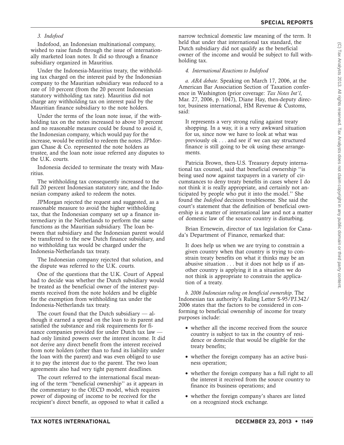#### *3. Indofood*

Indofood, an Indonesian multinational company, wished to raise funds through the issue of internationally marketed loan notes. It did so through a finance subsidiary organized in Mauritius.

Under the Indonesia-Mauritius treaty, the withholding tax charged on the interest paid by the Indonesian company to the Mauritian subsidiary was reduced to a rate of 10 percent (from the 20 percent Indonesian statutory withholding tax rate). Mauritius did not charge any withholding tax on interest paid by the Mauritian finance subsidiary to the note holders.

Under the terms of the loan note issue, if the withholding tax on the notes increased to above 10 percent and no reasonable measure could be found to avoid it, the Indonesian company, which would pay for the increase, would be entitled to redeem the notes. JPMorgan Chase & Co. represented the note holders as trustee, and the loan note issue referred any disputes to the U.K. courts.

Indonesia decided to terminate the treaty with Mauritius.

The withholding tax consequently increased to the full 20 percent Indonesian statutory rate, and the Indonesian company asked to redeem the notes.

JPMorgan rejected the request and suggested, as a reasonable measure to avoid the higher withholding tax, that the Indonesian company set up a finance intermediary in the Netherlands to perform the same functions as the Mauritian subsidiary. The loan between that subsidiary and the Indonesian parent would be transferred to the new Dutch finance subsidiary, and no withholding tax would be charged under the Indonesia-Netherlands tax treaty.

The Indonesian company rejected that solution, and the dispute was referred to the U.K. courts.

One of the questions that the U.K. Court of Appeal had to decide was whether the Dutch subsidiary would be treated as the beneficial owner of the interest payments received from the note holders and be eligible for the exemption from withholding tax under the Indonesia-Netherlands tax treaty.

The court found that the Dutch subsidiary  $-$  although it earned a spread on the loan to its parent and satisfied the substance and risk requirements for finance companies provided for under Dutch tax law had only limited powers over the interest income. It did not derive any direct benefit from the interest received from note holders (other than to fund its liability under the loan with the parent) and was even obliged to use it to pay the interest due to the parent. The two loan agreements also had very tight payment deadlines.

The court referred to the international fiscal meaning of the term ''beneficial ownership'' as it appears in the commentary to the OECD model, which requires power of disposing of income to be received for the recipient's direct benefit, as opposed to what it called a narrow technical domestic law meaning of the term. It held that under that international tax standard, the Dutch subsidiary did not qualify as the beneficial owner of the income and would be subject to full withholding tax.

#### *4. International Reactions to Indofood*

*a. ABA debate*. Speaking on March 17, 2006, at the American Bar Association Section of Taxation conference in Washington (prior coverage: *Tax Notes Int'l*, Mar. 27, 2006, p. 1047), Diane Hay, then-deputy director, business international, HM Revenue & Customs, said:

It represents a very strong ruling against treaty shopping. In a way, it is a very awkward situation for us, since now we have to look at what was previously ok . . . and see if we can say structured finance is still going to be ok using these arrangements.

Patricia Brown, then-U.S. Treasury deputy international tax counsel, said that beneficial ownership ''is being used now against taxpayers in a variety of circumstances to deny treaty benefits in cases where I do not think it is really appropriate, and certainly not anticipated by people who put it into the model.'' She found the *Indofood* decision troublesome. She said the court's statement that the definition of beneficial ownership is a matter of international law and not a matter of domestic law of the source country is disturbing.

Brian Ernewein, director of tax legislation for Canada's Department of Finance, remarked that:

It does help us when we are trying to constrain a given country when that country is trying to constrain treaty benefits on what it thinks may be an abusive situation . . . but it does not help us if another country is applying it in a situation we do not think is appropriate to constrain the application of a treaty.

*b. 2006 Indonesian ruling on beneficial ownership*. The Indonesian tax authority's Ruling Letter S-95/PJ.342/ 2006 states that the factors to be considered in conforming to beneficial ownership of income for treaty purposes include:

- whether all the income received from the source country is subject to tax in the country of residence or domicile that would be eligible for the treaty benefits;
- whether the foreign company has an active business operation;
- whether the foreign company has a full right to all the interest it received from the source country to finance its business operations; and
- whether the foreign company's shares are listed on a recognized stock exchange.

 $\widehat{\odot}$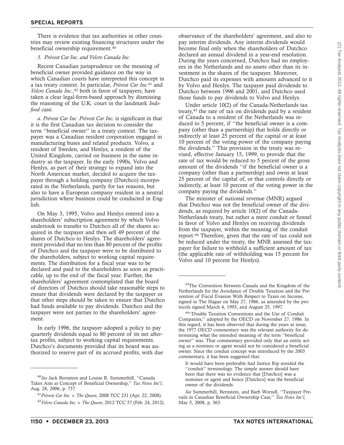There is evidence that tax authorities in other countries may review existing financing structures under the beneficial ownership requirement.<sup>40</sup>

#### *5. Prévost Car Inc. and Velcro Canada Inc.*

Recent Canadian jurisprudence on the meaning of beneficial owner provided guidance on the way in which Canadian courts have interpreted this concept in a tax treaty context. In particular, *Prévost Car Inc.*<sup>41</sup> and *Velcro Canada Inc.*,<sup>42</sup> both in favor of taxpayers, have taken a clear legal-form-based approach by dismissing the reasoning of the U.K. court in the landmark *Indofood* case.

*a. Prévost Car Inc. Prévost Car Inc.* is significant in that it is the first Canadian tax decision to consider the term ''beneficial owner'' in a treaty context. The taxpayer was a Canadian resident corporation engaged in manufacturing buses and related products. Volvo, a resident of Sweden, and Henlys, a resident of the United Kingdom, carried on business in the same industry as the taxpayer. In the early 1990s, Volvo and Henlys, as part of their strategy to expand into the North American market, decided to acquire the taxpayer through a holding company (Dutchco) incorporated in the Netherlands, partly for tax reasons, but also to have a European company resident in a neutral jurisdiction where business could be conducted in English.

On May 3, 1995, Volvo and Henlys entered into a shareholders' subscription agreement by which Volvo undertook to transfer to Dutchco all of the shares acquired in the taxpayer and then sell 49 percent of the shares of Dutchco to Henlys. The shareholders' agreement provided that no less than 80 percent of the profits of Dutchco and the taxpayer were to be distributed to the shareholders, subject to working capital requirements. The distribution for a fiscal year was to be declared and paid to the shareholders as soon as practicable, up to the end of the fiscal year. Further, the shareholders' agreement contemplated that the board of directors of Dutchco should take reasonable steps to ensure that dividends were declared by the taxpayer or that other steps should be taken to ensure that Dutchco had funds available to pay dividends. Dutchco and the taxpayer were not parties to the shareholders' agreement.

In early 1996, the taxpayer adopted a policy to pay quarterly dividends equal to 80 percent of its net aftertax profits, subject to working capital requirements. Dutchco's documents provided that its board was authorized to reserve part of its accrued profits, with due observance of the shareholders' agreement, and also to pay interim dividends. Any interim dividends would become final only when the shareholders of Dutchco declared an annual dividend in a year-end resolution. During the years concerned, Dutchco had no employees in the Netherlands and no assets other than its investment in the shares of the taxpayer. Moreover, Dutchco paid its expenses with amounts advanced to it by Volvo and Henlys. The taxpayer paid dividends to Dutchco between 1996 and 2001, and Dutchco used those funds to pay dividends to Volvo and Henlys.

Under article 10(2) of the Canada-Netherlands tax treaty,43 the rate of tax on dividends paid by a resident of Canada to a resident of the Netherlands was reduced to 5 percent, if ''the beneficial owner is a company (other than a partnership) that holds directly or indirectly at least 25 percent of the capital or at least 10 percent of the voting power of the company paying the dividends.'' This provision in the treaty was revised, effective January 15, 1999, to provide that the rate of tax would be reduced to 5 percent of the gross amount of the dividends ''if the beneficial owner is a company (other than a partnership) and owns at least 25 percent of the capital of, or that controls directly or indirectly, at least 10 percent of the voting power in the company paying the dividends.''

The minister of national revenue (MNR) argued that Dutchco was not the beneficial owner of the dividends, as required by article 10(2) of the Canada-Netherlands treaty, but rather a mere conduit or funnel in favor of Volvo and Henlys on receiving dividends from the taxpayer, within the meaning of the conduit report.44 Therefore, given that the rate of tax could not be reduced under the treaty, the MNR assessed the taxpayer for failure to withhold a sufficient amount of tax (the applicable rate of withholding was 15 percent for Volvo and 10 percent for Henlys).

<sup>40</sup>*See* Jack Bernstein and Louise R. Summerhill, ''Canada Takes Aim at Concept of Beneficial Ownership,'' *Tax Notes Int'l*, Aug. 28, 2006, p. 737.

<sup>41</sup>*Prévost Car Inc. v. The Queen*, 2008 TCC 231 (Apr. 22, 2008).

<sup>42</sup>*Velcro Canada Inc. v. The Queen*, 2012 TCC 57 (Feb. 24, 2012).

<sup>&</sup>lt;sup>43</sup>The Convention Between Canada and the Kingdom of the Netherlands for the Avoidance of Double Taxation and the Prevention of Fiscal Evasion With Respect to Taxes on Income, signed in The Hague on May 27, 1986, as amended by the protocols signed March 4, 1993, and August 25, 1997.

<sup>44&#</sup>x27;'Double Taxation Conventions and the Use of Conduit Companies,'' adopted by the OECD on November 27, 1986. In this regard, it has been observed that during the years at issue, the 1977 OECD commentary was the relevant authority for determining what the intended meaning of the term ''beneficial owner'' was. That commentary provided only that an entity acting as a nominee or agent would not be considered a beneficial owner. Since the conduit concept was introduced by the 2003 commentary, it has been suggested that:

It would have been preferable had Justice Rip avoided the ''conduit'' terminology. The simple answer should have been that there was no evidence that [Dutchco] was a nominee or agent and hence [Dutchco] was the beneficial owner of the dividends.

*See* Summerhill, Bernstein, and Barb Worndl, ''Taxpayer Prevails in Canadian Beneficial Ownership Case,'' *Tax Notes Int'l*, May 5, 2008, p. 363.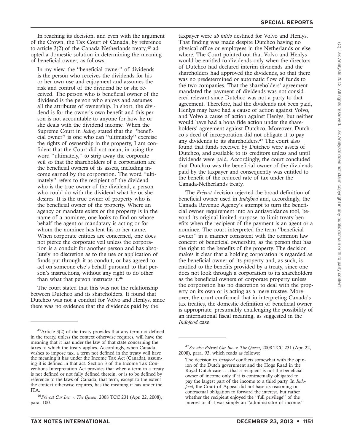In reaching its decision, and even with the argument of the Crown, the Tax Court of Canada, by reference to article  $3(2)$  of the Canada-Netherlands treaty,  $45$  adopted a domestic solution in determining the meaning of beneficial owner, as follows:

In my view, the ''beneficial owner'' of dividends is the person who receives the dividends for his or her own use and enjoyment and assumes the risk and control of the dividend he or she received. The person who is beneficial owner of the dividend is the person who enjoys and assumes all the attributes of ownership. In short, the dividend is for the owner's own benefit and this person is not accountable to anyone for how he or she deals with the dividend income. When the Supreme Court in *Jodrey* stated that the ''beneficial owner'' is one who can ''ultimately'' exercise the rights of ownership in the property, I am confident that the Court did not mean, in using the word ''ultimately,'' to strip away the corporate veil so that the shareholders of a corporation are the beneficial owners of its assets, including income earned by the corporation. The word ''ultimately'' refers to the recipient of the dividend who is the true owner of the dividend, a person who could do with the dividend what he or she desires. It is the true owner of property who is the beneficial owner of the property. Where an agency or mandate exists or the property is in the name of a nominee, one looks to find on whose behalf the agent or mandatary is acting or for whom the nominee has lent his or her name. When corporate entities are concerned, one does not pierce the corporate veil unless the corporation is a conduit for another person and has absolutely no discretion as to the use or application of funds put through it as conduit, or has agreed to act on someone else's behalf pursuant to that person's instructions, without any right to do other than what that person instructs it.46

The court stated that this was not the relationship between Dutchco and its shareholders. It found that Dutchco was not a conduit for Volvo and Henlys, since there was no evidence that the dividends paid by the

taxpayer were *ab initio* destined for Volvo and Henlys. That finding was made despite Dutchco having no physical office or employees in the Netherlands or elsewhere. The Court pointed out that Volvo and Henlys would be entitled to dividends only when the directors of Dutchco had declared interim dividends and the shareholders had approved the dividends, so that there was no predetermined or automatic flow of funds to the two companies. That the shareholders' agreement mandated the payment of dividends was not considered relevant since Dutchco was not a party to that agreement. Therefore, had the dividends not been paid, Henlys may have had a cause of action against Volvo, and Volvo a cause of action against Henlys, but neither would have had a bona fide action under the shareholders' agreement against Dutchco. Moreover, Dutchco's deed of incorporation did not obligate it to pay any dividends to its shareholders.47 The court also found that funds received by Dutchco were assets of Dutchco, and available to its creditors unless and until dividends were paid. Accordingly, the court concluded that Dutchco was the beneficial owner of the dividends paid by the taxpayer and consequently was entitled to the benefit of the reduced rate of tax under the Canada-Netherlands treaty.

The *Prévost* decision rejected the broad definition of beneficial owner used in *Indofood* and, accordingly, the Canada Revenue Agency's attempt to turn the beneficial owner requirement into an antiavoidance tool, beyond its original limited purpose, to limit treaty benefits when the recipient of the payment is an agent or a nominee. The court interpreted the term ''beneficial owner'' in a manner consistent with the common law concept of beneficial ownership, as the person that has the right to the benefits of the property. The decision makes it clear that a holding corporation is regarded as the beneficial owner of its property and, as such, is entitled to the benefits provided by a treaty, since one does not look through a corporation to its shareholders as the beneficial owners of corporate property unless the corporation has no discretion to deal with the property on its own or is acting as a mere trustee. Moreover, the court confirmed that in interpreting Canada's tax treaties, the domestic definition of beneficial owner is appropriate, presumably challenging the possibility of an international fiscal meaning, as suggested in the *Indofood* case.

 $45$ Article 3(2) of the treaty provides that any term not defined in the treaty, unless the context otherwise requires, will have the meaning that it has under the law of that state concerning the taxes to which the treaty applies. Accordingly, when Canada wishes to impose tax, a term not defined in the treaty will have the meaning it has under the Income Tax Act (Canada), assuming it is defined in that act. Section 3 of the Income Tax Conventions Interpretation Act provides that when a term in a treaty is not defined or not fully defined therein, or is to be defined by reference to the laws of Canada, that term, except to the extent the context otherwise requires, has the meaning it has under the ITA.

<sup>46</sup>*Prévost Car Inc. v. The Queen*, 2008 TCC 231 (Apr. 22, 2008), para. 100.

<sup>47</sup>*See also Prévost Car Inc. v. The Queen*, 2008 TCC 231 (Apr. 22, 2008), para. 93, which reads as follows:

The decision in *Indofood* conflicts somewhat with the opinion of the Dutch government and the Hoge Raad in the Royal Dutch case... that a recipient is not the beneficial owner of income only if it is contractually obligated to pay the largest part of the income to a third party. In *Indofood*, the Court of Appeal did not base its reasoning on contractual obligation to forward the interest, but rather whether the recipient enjoyed the ''full privilege'' of the interest or if it was simply an ''administrator of income.''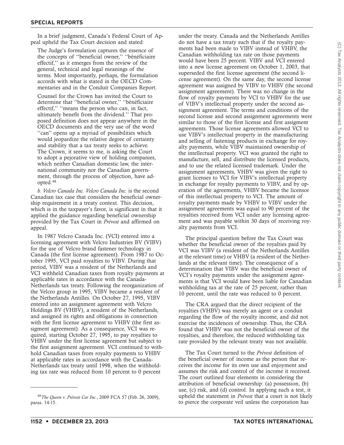In a brief judgment, Canada's Federal Court of Appeal upheld the Tax Court decision and stated:

The Judge's formulation captures the essence of the concepts of ''beneficial owner,'' ''bénéficiaire effectif,'' as it emerges from the review of the general, technical and legal meanings of the terms. Most importantly, perhaps, the formulation accords with what is stated in the OECD Commentaries and in the Conduit Companies Report.

Counsel for the Crown has invited the Court to determine that ''beneficial owner,'' ''bénéficiaire effectif,'' ''means the person who can, in fact, ultimately benefit from the dividend.'' That proposed definition does not appear anywhere in the OECD documents and the very use of the word "can" opens up a myriad of possibilities which would jeopardize the relative degree of certainty and stability that a tax treaty seeks to achieve. The Crown, it seems to me, is asking the Court to adopt a pejorative view of holding companies, which neither Canadian domestic law, the international community nor the Canadian government, through the process of objection, have adopted.48

*b. Velcro Canada Inc. Velcro Canada Inc.* is the second Canadian tax case that considers the beneficial ownership requirement in a treaty context. This decision, which is in the taxpayer's favor, is significant in that it applied the guidance regarding beneficial ownership provided by the Tax Court in *Prévost* and affirmed on appeal.

In 1987 Velcro Canada Inc. (VCI) entered into a licensing agreement with Velcro Industries BV (VIBV) for the use of Velcro brand fastener technology in Canada (the first license agreement). From 1987 to October 1995, VCI paid royalties to VIBV. During that period, VIBV was a resident of the Netherlands and VCI withheld Canadian taxes from royalty payments at applicable rates in accordance with the Canada-Netherlands tax treaty. Following the reorganization of the Velcro group in 1995, VIBV became a resident of the Netherlands Antilles. On October 27, 1995, VIBV entered into an assignment agreement with Velcro Holdings BV (VHBV), a resident of the Netherlands, and assigned its rights and obligations in connection with the first license agreement to VHBV (the first assigment agreement). As a consequence, VCI was required, starting October 27, 1995, to pay royalties to VHBV under the first license agreement but subject to the first assignment agreement. VCI continued to withhold Canadian taxes from royalty payments to VHBV at applicable rates in accordance with the Canada-Netherlands tax treaty until 1998, when the withholding tax rate was reduced from 10 percent to 0 percent

under the treaty. Canada and the Netherlands Antilles do not have a tax treaty such that if the royalty payments had been made to VIBV instead of VHBV, the Canadian withholding tax rate on those payments would have been 25 percent. VIBV and VCI entered into a new license agreement on October 1, 2003, that superseded the first license agreement (the second license agreement). On the same day, the second license agreement was assigned by VIBV to VHBV (the second assignment agreement). There was no change in the flow of royalty payments by VCI to VHBV for the use of VIBV's intellectual property under the second assignment agreement. The terms and conditions of the second license and second assignment agreements were similar to those of the first license and first assigment agreements. Those license agreements allowed VCI to use VIBV's intellectual property in the manufacturing and selling of fastening products in exchange for royalty payments, while VIBV maintained ownership of the intellectual property. VCI was granted the right to manufacture, sell, and distribute the licensed products, and to use the related licensed trademark. Under the assignment agreements, VHBV was given the right to grant licenses to VCI for VIBV's intellectual property in exchange for royalty payments to VIBV, and by operation of the agreements, VHBV became the licensor of this intellectual property to VCI. The amount of royalty payments made by VHBV to VIBV under the assignment agreements was equal to 90 percent of the royalties received from VCI under any licensing agreement and was payable within 30 days of receiving royalty payments from VCI.

The principal question before the Tax Court was whether the beneficial owner of the royalties paid by VCI was VIBV (a resident of the Netherlands Antilles at the relevant time) or VHBV (a resident of the Netherlands at the relevant time). The consequence of a determination that VIBV was the beneficial owner of VCI's royalty payments under the assignment agreements is that VCI would have been liable for Canadian withholding tax at the rate of 25 percent, rather than 10 percent, until the rate was reduced to 0 percent.

The CRA argued that the direct recipient of the royalties (VHBV) was merely an agent or a conduit regarding the flow of the royalty income, and did not exercise the incidences of ownership. Thus, the CRA found that VHBV was not the beneficial owner of the royalties, and therefore, the reduced withholding tax rate provided by the relevant treaty was not available.

The Tax Court turned to the *Prévost* definition of the beneficial owner of income as the person that receives the income for its own use and enjoyment and assumes the risk and control of the income it received. The court outlined four elements in considering the attribution of beneficial ownership: (a) possession, (b) use, (c) risk, and (d) control. In applying such a test, it upheld the statement in *Prévost* that a court is not likely to pierce the corporate veil unless the corporation has

 $\widehat{\odot}$ 

<sup>48</sup>*The Queen v. Prévost Car Inc.*, 2009 FCA 57 (Feb. 26, 2009), paras. 14-15.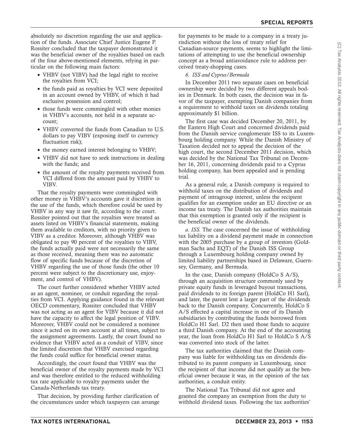absolutely no discretion regarding the use and application of the funds. Associate Chief Justice Eugene P. Rossiter concluded that the taxpayer demonstrated it was the beneficial owner of the royalties based on each of the four above-mentioned elements, relying in particular on the following main factors:

- VHBV (not VIBV) had the legal right to receive the royalties from VCI;
- the funds paid as royalties by VCI were deposited in an account owned by VHBV, of which it had exclusive possession and control;
- those funds were commingled with other monies in VHBV's accounts, not held in a separate account;
- VHBV converted the funds from Canadian to U.S. dollars to pay VIBV (exposing itself to currency fluctuation risk);
- the money earned interest belonging to VHBV;
- VHBV did not have to seek instructions in dealing with the funds; and
- the amount of the royalty payments received from VCI differed from the amount paid by VHBV to VIBV.

That the royalty payments were commingled with other money in VHBV's accounts gave it discretion in the use of the funds, which therefore could be used by VHBV in any way it saw fit, according to the court. Rossiter pointed out that the royalties were treated as assets listed on VHBV's financial statements, making them available to creditors, with no priority given to VIBV as a creditor. Moreover, although VHBV was obligated to pay 90 percent of the royalties to VIBV, the funds actually paid were not necessarily the same as those received, meaning there was no automatic flow of specific funds because of the discretion of VHBV regarding the use of those funds (the other 10 percent were subject to the discretionary use, enjoyment, and control of VHBV).

The court further considered whether VHBV acted as an agent, nominee, or conduit regarding the royalties from VCI. Applying guidance found in the relevant OECD commentary, Rossiter concluded that VHBV was not acting as an agent for VIBV because it did not have the capacity to affect the legal position of VIBV. Moreover, VHBV could not be considered a nominee since it acted on its own account at all times, subject to the assignment agreements. Lastly, the court found no evidence that VHBV acted as a conduit of VIBV, since the limited discretion that VHBV exercised regarding the funds could suffice for beneficial owner status.

Accordingly, the court found that VHBV was the beneficial owner of the royalty payments made by VCI and was therefore entitled to the reduced withholding tax rate applicable to royalty payments under the Canada-Netherlands tax treaty.

That decision, by providing further clarification of the circumstances under which taxpayers can arrange for payments to be made to a company in a treaty jurisdiction without the loss of treaty relief for Canadian-source payments, seems to highlight the limitations of attempting to use the beneficial ownership concept as a broad antiavoidance rule to address perceived treaty-shopping cases.

#### *6. ISS and Cyprus/Bermuda*

In December 2011 two separate cases on beneficial ownership were decided by two different appeals bodies in Denmark. In both cases, the decision was in favor of the taxpayer, exempting Danish companies from a requirement to withhold taxes on dividends totaling approximately \$1 billion.

The first case was decided December 20, 2011, by the Eastern High Court and concerned dividends paid from the Danish service conglomerate ISS to its Luxembourg holding company. While the Danish Ministry of Taxation decided not to appeal the decision of the high court, the second December 2011 decision, which was decided by the National Tax Tribunal on December 16, 2011, concerning dividends paid to a Cyprus holding company, has been appealed and is pending trial.

As a general rule, a Danish company is required to withhold taxes on the distribution of dividends and payment of intragroup interest, unless the recipient qualifies for an exemption under an EU directive or an income tax treaty. The Danish tax authorities maintain that this exemption is granted only if the recipient is the beneficial owner of the dividends.

*a. ISS.* The case concerned the issue of withholding tax liability on a dividend payment made in connection with the 2005 purchase by a group of investors (Goldman Sachs and EQT) of the Danish ISS Group through a Luxembourg holding company owned by limited liability partnerships based in Delaware, Guernsey, Germany, and Bermuda.

In the case, Danish company (HoldCo S A/S), through an acquisition structure commonly used by private equity funds in leveraged buyout transactions, paid dividends to its foreign parent (HoldCo H1 Sarl), and later, the parent lent a larger part of the dividends back to the Danish company. Concurrently, HoldCo S A/S effected a capital increase in one of its Danish subsidiaries by contributing the funds borrowed from HoldCo H1 Sarl. D2 then used those funds to acquire a third Danish company. At the end of the accounting year, the loan from HoldCo H1 Sarl to HoldCo S A/S was converted into stock of the latter.

The tax authorities claimed that the Danish company was liable for withholding tax on dividends distributed to its parent company in Luxembourg, since the recipient of that income did not qualify as the beneficial owner because it was, in the opinion of the tax authorities, a conduit entity.

The National Tax Tribunal did not agree and granted the company an exemption from the duty to withhold dividend taxes. Following the tax authorities'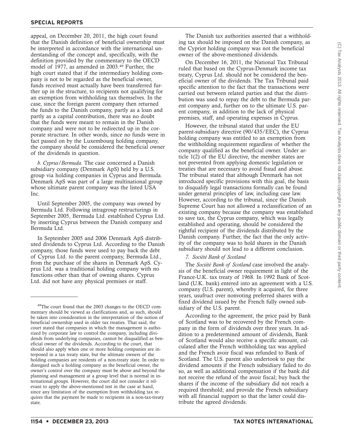appeal, on December 20, 2011, the high court found that the Danish definition of beneficial ownership must be interpreted in accordance with the international understanding of the concept and, specifically, with the definition provided by the commentary to the OECD model of 1977, as amended in 2003.49 Further, the high court stated that if the intermediary holding company is not to be regarded as the beneficial owner, funds received must actually have been transferred further up in the structure, to recipients not qualifying for an exemption from withholding tax themselves. In the case, since the foreign parent company then returned the funds to the Danish company, partly as a loan and partly as a capital contribution, there was no doubt that the funds were meant to remain in the Danish company and were not to be redirected up in the corporate structure. In other words, since no funds were in fact passed on by the Luxembourg holding company, the company should be considered the beneficial owner of the dividends in question.

*b. Cyprus/Bermuda.* The case concerned a Danish subsidiary company (Denmark ApS) held by a U.S. group via holding companies in Cyprus and Bermuda. Denmark ApS was part of a large multinational group whose ultimate parent company was the listed USA Inc.

Until September 2005, the company was owned by Bermuda Ltd. Following intragroup restructurings in September 2005, Bermuda Ltd. established Cyprus Ltd. by inserting Cyprus between the Danish company and Bermuda Ltd.

In September 2005 and 2006 Denmark ApS distributed dividends to Cyprus Ltd. According to the Danish company, those funds were used to pay back the debt of Cyprus Ltd. to the parent company, Bermuda Ltd., from the purchase of the shares in Denmark ApS. Cyprus Ltd. was a traditional holding company with no functions other than that of owning shares. Cyprus Ltd. did not have any physical premises or staff.

The Danish tax authorities asserted that a withholding tax should be imposed on the Danish company, as the Cypriot holding company was not the beneficial owner of the above-mentioned dividends.

On December 16, 2011, the National Tax Tribunal ruled that based on the Cyprus-Denmark income tax treaty, Cyprus Ltd. should not be considered the beneficial owner of the dividends. The Tax Tribunal paid specific attention to the fact that the transactions were carried out between related parties and that the distribution was used to repay the debt to the Bermuda parent company and, further on to the ultimate U.S. parent company, in addition to the lack of physical premises, staff, and operating expenses in Cyprus.

However, the tribunal stated that under the EU parent-subsidiary directive (90/435/EEC), the Cyprus holding company was entitled to an exemption from the withholding requirement regardless of whether the company qualified as the beneficial owner. Under article 1(2) of the EU directive, the member states are not prevented from applying domestic legislation or treaties that are necessary to avoid fraud and abuse. The tribunal stated that although Denmark has not introduced specific provisions with this goal, the basis to disqualify legal transactions formally can be found under general principles of law, including case law. However, according to the tribunal, since the Danish Supreme Court has not allowed a reclassification of an existing company because the company was established to save tax, the Cyprus company, which was legally established and operating, should be considered the rightful recipient of the dividends distributed by the Danish company. Further, the fact that the only activity of the company was to hold shares in the Danish subsidiary should not lead to a different conclusion.

#### *7. Société Bank of Scotland*

The *Société Bank of Scotland* case involved the analysis of the beneficial owner requirement in light of the France-U.K. tax treaty of 1968. In 1992 Bank of Scotland (U.K. bank) entered into an agreement with a U.S. company (U.S. parent), whereby it acquired, for three years, usufruct over nonvoting preferred shares with a fixed dividend issued by the French fully owned subsidiary of the U.S. parent.

According to the agreement, the price paid by Bank of Scotland was to be recovered by the French company in the form of dividends over three years. In addition to a predetermined amount of dividends, Bank of Scotland would also receive a specific amount, calculated after the French withholding tax was applied and the French avoir fiscal was refunded to Bank of Scotland. The U.S. parent also undertook to pay the dividend amounts if the French subsidiary failed to do so, as well as additional compensation if the bank did not receive the refund of the avoir fiscal; buy back the shares if the income of the subsidiary did not reach a required threshold; and provide the French subsidiary with all financial support so that the latter could distribute the agreed dividends.

<sup>&</sup>lt;sup>49</sup>The court found that the 2003 changes to the OECD commentary should be viewed as clarifications and, as such, should be taken into consideration in the interpretation of the notion of beneficial ownership used in older tax treaties. That said, the court stated that companies in which the management is authorized by corporate law to control the company, including dividends from underlying companies, cannot be disqualified as beneficial owner of the dividends. According to the court, that should also apply when one or more holding companies are interposed in a tax treaty state, but the ultimate owners of the holding companies are residents of a non-treaty state. In order to disregard such a holding company as the beneficial owner, the owner's control over the company must be above and beyond the planning and management at a group level that is normal in international groups. However, the court did not consider it relevant to apply the above-mentioned test in the case at hand, since any limitation of the exemption from withholding tax requires that the payment be made to recipients in a non-tax-treaty state.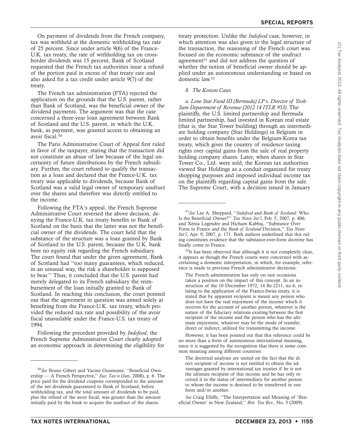On payment of dividends from the French company, tax was withheld at the domestic withholding tax rate of 25 percent. Since under article 9(6) of the France-U.K. tax treaty, the rate of withholding tax on crossborder dividends was 15 percent, Bank of Scotland requested that the French tax authorities issue a refund of the portion paid in excess of that treaty rate and also asked for a tax credit under article 9(7) of the treaty.

The French tax administration (FTA) rejected the application on the grounds that the U.S. parent, rather than Bank of Scotland, was the beneficial owner of the dividend payments. The argument was that the case concerned a three-year loan agreement between Bank of Scotland and the U.S. parent, in which the U.K. bank, as payment, was granted access to obtaining an avoir fiscal.50

The Paris Administrative Court of Appeal first ruled in favor of the taxpayer, stating that the transaction did not constitute an abuse of law because of the legal uncertainty of future distributions by the French subsidiary. Further, the court refused to qualify the transaction as a loan and declared that the France-U.K. tax treaty was applicable to dividends, because Bank of Scotland was a valid legal owner of temporary usufruct over the shares and therefore was directly entitled to the income.

Following the FTA's appeal, the French Supreme Administrative Court reversed the above decision, denying the France-U.K. tax treaty benefits to Bank of Scotland on the basis that the latter was not the beneficial owner of the dividends. The court held that the substance of the structure was a loan granted by Bank of Scotland to the U.S. parent, because the U.K. bank bore no equity risk regarding the French subsidiary. The court found that under the given agreement, Bank of Scotland had ''too many guarantees, which reduced, in an unusual way, the risk a shareholder is supposed to bear.'' Thus, it concluded that the U.S. parent had merely delegated to its French subsidiary the reimbursement of the loan initially granted to Bank of Scotland. In reaching this conclusion, the court pointed out that the agreement in question was aimed solely at benefiting from the France-U.K. tax treaty, which provided the reduced tax rate and possibility of the avoir fiscal unavailable under the France-U.S. tax treaty of 1994.

Following the precedent provided by *Indofood*, the French Supreme Administrative Court clearly adopted an economic approach in determining the eligibility for treaty protection. Unlike the *Indofood* case, however, in which attention was also given to the legal structure of the transaction, the reasoning of the French court was focused on the economic substance of the usufruct agreement<sup>51</sup> and did not address the question of whether the notion of beneficial owner should be applied under an autonomous understanding or based on domestic law.52

#### *8. The Korean Cases*

*a. Lone Star Fund III (Bermuda) LP v. Director of Yeok-Sam Department of Revenue (2012 14 ITLR 953)*. The plaintiffs, the U.S. limited partnership and Bermuda limited partnership, had invested in Korean real estate (that is, the Star Tower building) through an intermediate holding company (Star Holdings) in Belgium in order to obtain benefits under the Belgium-Korea tax treaty, which gives the country of residence taxing rights over capital gains from the sale of real property holding company shares. Later, when shares in Star Tower Co., Ltd. were sold, the Korean tax authorities viewed Star Holdings as a conduit organized for treaty shopping purposes and imposed individual income tax on the plaintiffs regarding capital gains from the sale. The Supreme Court, with a decision issued in January

The French administration has only on rare occasions taken a position on the impact of this concept. In an instruction of the 10 December 1972, 14 Be-2211, no 6, relating to the application of the Franco-Swiss treaty, it is stated that by apparent recipient is meant any person who does not have the real enjoyment of the income which it receives for the account of another person, whatever is the nature of the fiduciary relations existing between the first recipient of the income and the person who has the ultimate enjoyment, whatever may be the mode of transfer, direct or indirect, utilized for transmitting the income.

However, it has been pointed out that this reference could be no more than a form of autonomous international meaning, since it is suggested by the recognition that there is some common meaning among different countries:

The doctrinal analyses are united on the fact that the direct recipient of income is not entitled to obtain the advantages granted by international tax treaties if he is not the ultimate recipient of this income and he has only received it in the status of intermediary for another person to whom the income is destined to be transferred in one form and/or another.

<sup>50</sup>*See* Bruno Gibert and Yacine Ouamrane, ''Beneficial Ownership — A French Perspective," *Eur. Tax'n* (Jan. 2008), p. 6. The price paid for the dividend coupons corresponded to the amount of the net dividends guaranteed to Bank of Scotland, before withholding tax, and the total amount of dividends to be paid, plus the refund of the avoir fiscal, was greater than the amount initially paid by the bank to acquire the usufruct of the shares.

<sup>51</sup>*See* Lee A. Sheppard, ''*Indofood* and *Bank of Scotland*: Who Is the Beneficial Owner?'' *Tax Notes Int'l*, Feb. 5, 2007, p. 406; and Xénia Legendre and Hicham Kabbaj, ''Substance Over Form in France and the *Bank of Scotland* Decision,'' *Tax Notes Int'l*, Apr. 9, 2007, p. 171. Both authors underlined that this ruling constitutes evidence that the substance-over-form doctrine has finally come to France.

 $52$ It has been observed that although it is not completely clear, it appears as though the French courts were concerned with ascertaining a domestic interpretation, in which, for example, reference is made to previous French administrative decisions:

*See* Craig Elliffe, ''The Interpretation and Meaning of 'Beneficial Owner' in New Zealand,'' *Brit. Tax Rev.*, No. 3 (2009).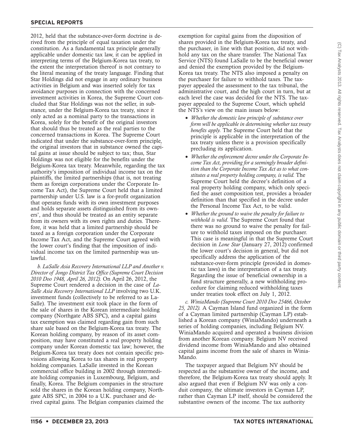2012, held that the substance-over-form doctrine is derived from the principle of equal taxation under the constitution. As a fundamental tax principle generally applicable under domestic tax law, it can be applied in interpreting terms of the Belgium-Korea tax treaty, to the extent the interpretation thereof is not contrary to the literal meaning of the treaty language. Finding that Star Holdings did not engage in any ordinary business activities in Belgium and was inserted solely for tax avoidance purposes in connection with the concerned investment activities in Korea, the Supreme Court concluded that Star Holdings was not the seller, in substance, under the Belgium-Korea tax treaty, since it only acted as a nominal party to the transactions in Korea, solely for the benefit of the original investors that should thus be treated as the real parties to the concerned transactions in Korea. The Supreme Court indicated that under the substance-over-form principle, the original investors that in substance owned the capital gains at issue should be subject to tax; thus, Star Holdings was not eligible for the benefits under the Belgium-Korea tax treaty. Meanwhile, regarding the tax authority's imposition of individual income tax on the plaintiffs, the limited partnerships (that is, not treating them as foreign corporations under the Corporate Income Tax Act), the Supreme Court held that a limited partnership under U.S. law is a for-profit organization that operates funds with its own investment purposes and holds separate assets distinguished from its owners', and thus should be treated as an entity separate from its owners with its own rights and duties. Therefore, it was held that a limited partnership should be taxed as a foreign corporation under the Corporate Income Tax Act, and the Supreme Court agreed with the lower court's finding that the imposition of individual income tax on the limited partnership was unlawful.

*b. LaSalle Asia Recovery International LLP and Another v. Director of Jongo District Tax Office (Supreme Court Decision 2010 Doo 1948, April 26, 2012).* On April 26, 2012, the Supreme Court rendered a decision in the case of *La-Salle Asia Recovery International LLP* involving two U.K. investment funds (collectively to be referred to as La-Salle). The investment exit took place in the form of the sale of shares in the Korean intermediate holding company (Northgate ABS SPC), and a capital gains tax exemption was claimed regarding gain from such share sale based on the Belgium-Korea tax treaty. The Korean holding company, by reason of its asset composition, may have constituted a real property holding company under Korean domestic tax law; however, the Belgium-Korea tax treaty does not contain specific provisions allowing Korea to tax shares in real property holding companies. LaSalle invested in the Korean commercial office building in 2002 through intermediate holding companies in Luxembourg, Belgium, and finally, Korea. The Belgium companies in the structure sold the shares in the Korean holding company, Northgate ABS SPC, in 2004 to a U.K. purchaser and derived capital gains. The Belgian companies claimed the

exemption for capital gains from the disposition of shares provided in the Belgium-Korea tax treaty, and the purchaser, in line with that position, did not withhold any tax on the share transfer. The National Tax Service (NTS) found LaSalle to be the beneficial owner and denied the exemption provided by the Belgium-Korea tax treaty. The NTS also imposed a penalty on the purchaser for failure to withhold taxes. The taxpayer appealed the assessment to the tax tribunal, the administrative court, and the high court in turn, but at each level the case was decided for the NTS. The taxpayer appealed to the Supreme Court, which upheld the NTS's view on the main issues below:

- *Whether the domestic law principle of substance over form will be applicable in determining whether tax treaty benefits apply.* The Supreme Court held that the principle is applicable in the interpretation of the tax treaty unless there is a provision specifically precluding its application.
- *Whether the enforcement decree under the Corporate Income Tax Act, providing for a seemingly broader definition than the Corporate Income Tax Act as to what constitutes a real property holding company, is valid.* The Supreme Court held the decree's definition of a real property holding company, which only specified the asset composition test, provides a broader definition than that specified in the decree under the Personal Income Tax Act, to be valid.
- *Whether the ground to waive the penalty for failure to withhold is valid*. The Supreme Court found that there was no ground to waive the penalty for failure to withhold taxes imposed on the purchaser. This case is meaningful in that the Supreme Court decision in *Lone Star* (January 27, 2012) confirmed the lower court's decision in general, but did not specifically address the application of the substance-over-form principle (provided in domestic tax laws) in the interpretation of a tax treaty. Regarding the issue of beneficial ownership in a fund structure generally, a new withholding procedure for claiming reduced withholding taxes under treaties took effect on July 1, 2012.

*c. WiniaMando (Supreme Court 2010 Doo 25466, October 25, 2012).* A Cayman Island fund organized in the form of a Cayman limited partnership (Cayman LP) established a Korean company (WiniaMando) underneath a series of holding companies, including Belgium NV. WiniaMando acquired and operated a business division from another Korean company. Belgium NV received dividend income from WiniaMando and also obtained capital gains income from the sale of shares in Winia-Mando.

The taxpayer argued that Belgium NV should be respected as the substantive owner of the income, and therefore, the Belgium-Korea tax treaty should apply. It also argued that even if Belgium NV was only a conduit company, the ultimate investors in Cayman LP, rather than Cayman LP itself, should be considered the substantive owners of the income. The tax authority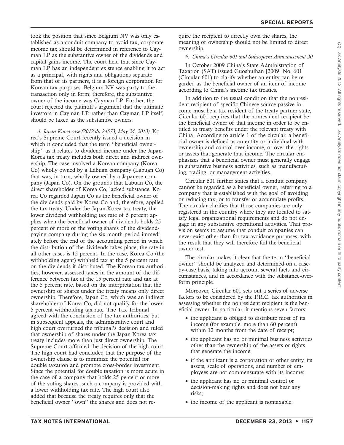took the position that since Belgium NV was only established as a conduit company to avoid tax, corporate income tax should be determined in reference to Cayman LP as the substantive owner of the dividends and capital gains income. The court held that since Cayman LP has an independent existence enabling it to act as a principal, with rights and obligations separate from that of its partners, it is a foreign corporation for Korean tax purposes. Belgium NV was party to the transaction only in form; therefore, the substantive owner of the income was Cayman LP. Further, the court rejected the plaintiff's argument that the ultimate investors in Cayman LP, rather than Cayman LP itself, should be taxed as the substantive owners.

*d. Japan-Korea case (2012 du 24573, May 24, 2013).* Korea's Supreme Court recently issued a decision in which it concluded that the term ''beneficial ownership'' as it relates to dividend income under the Japan-Korea tax treaty includes both direct and indirect ownership. The case involved a Korean company (Korea Co) wholly owned by a Labuan company (Labuan Co) that was, in turn, wholly owned by a Japanese company (Japan Co). On the grounds that Labuan Co, the direct shareholder of Korea Co, lacked substance, Korea Co regarded Japan Co as the beneficial owner of the dividends paid by Korea Co and, therefore, applied the tax treaty. Under the Japan-Korea tax treaty, the lower dividend withholding tax rate of 5 percent applies when the beneficial owner of dividends holds 25 percent or more of the voting shares of the dividendpaying company during the six-month period immediately before the end of the accounting period in which the distribution of the dividends takes place; the rate in all other cases is 15 percent. In the case, Korea Co (the withholding agent) withheld tax at the 5 percent rate on the dividends it distributed. The Korean tax authorities, however, assessed taxes in the amount of the difference between tax at the 15 percent rate and tax at the 5 percent rate, based on the interpretation that the ownership of shares under the treaty means only direct ownership. Therefore, Japan Co, which was an indirect shareholder of Korea Co, did not qualify for the lower 5 percent withholding tax rate. The Tax Tribunal agreed with the conclusion of the tax authorities, but in subsequent appeals, the administrative court and high court overturned the tribunal's decision and ruled that ownership of shares under the Japan-Korea tax treaty includes more than just direct ownership. The Supreme Court affirmed the decision of the high court. The high court had concluded that the purpose of the ownership clause is to minimize the potential for double taxation and promote cross-border investment. Since the potential for double taxation is more acute in the case of a company that holds 25 percent or more of the voting shares, such a company is provided with a lower withholding tax rate. The high court also added that because the treaty requires only that the beneficial owner ''own'' the shares and does not re-

quire the recipient to directly own the shares, the meaning of ownership should not be limited to direct ownership.

#### *9. China's Circular 601 and Subsequent Announcement 30*

In October 2009 China's State Administration of Taxation (SAT) issued Guoshuihan [2009] No. 601 (Circular 601) to clarify whether an entity can be regarded as the beneficial owner of an item of income according to China's income tax treaties.

In addition to the usual condition that the nonresident recipient of specific Chinese-source passive income must be a tax resident of the treaty partner state, Circular 601 requires that the nonresident recipient be the beneficial owner of that income in order to be entitled to treaty benefits under the relevant treaty with China. According to article 1 of the circular, a beneficial owner is defined as an entity or individual with ownership and control over income, or over the rights or assets that generate that income. The circular emphasizes that a beneficial owner must generally engage in substantive business activities, such as manufacturing, trading, or management activities.

Circular 601 further states that a conduit company cannot be regarded as a beneficial owner, referring to a company that is established with the goal of avoiding or reducing tax, or to transfer or accumulate profits. The circular clarifies that those companies are only registered in the country where they are located to satisfy legal organizational requirements and do not engage in any substantive operational activities. That provision seems to assume that conduit companies can never exist other than for tax avoidance purposes, with the result that they will therefore fail the beneficial owner test.

The circular makes it clear that the term ''beneficial owner'' should be analyzed and determined on a caseby-case basis, taking into account several facts and circumstances, and in accordance with the substance-overform principle.

Moreover, Circular 601 sets out a series of adverse factors to be considered by the P.R.C. tax authorities in assessing whether the nonresident recipient is the beneficial owner. In particular, it mentions seven factors:

- the applicant is obliged to distribute most of its income (for example, more than 60 percent) within 12 months from the date of receipt;
- the applicant has no or minimal business activities other than the ownership of the assets or rights that generate the income;
- if the applicant is a corporation or other entity, its assets, scale of operations, and number of employees are not commensurate with its income;
- the applicant has no or minimal control or decision-making rights and does not bear any risks;
- the income of the applicant is nontaxable;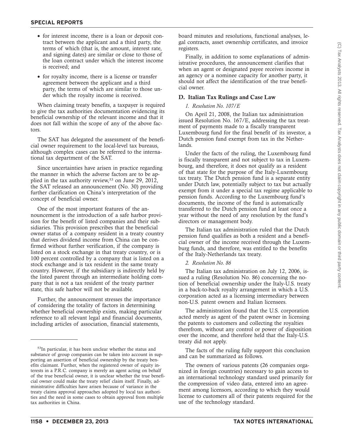#### **SPECIAL REPORTS**

- for interest income, there is a loan or deposit contract between the applicant and a third party, the terms of which (that is, the amount, interest rate, and signing dates) are similar or close to those of the loan contract under which the interest income is received; and
- for royalty income, there is a license or transfer agreement between the applicant and a third party, the terms of which are similar to those under which the royalty income is received.

When claiming treaty benefits, a taxpayer is required to give the tax authorities documentation evidencing its beneficial ownership of the relevant income and that it does not fall within the scope of any of the above factors.

The SAT has delegated the assessment of the beneficial owner requirement to the local-level tax bureaus, although complex cases can be referred to the international tax department of the SAT.

Since uncertainties have arisen in practice regarding the manner in which the adverse factors are to be applied in the tax authority review,53 on June 29, 2012, the SAT released an announcement (No. 30) providing further clarification on China's interpretation of the concept of beneficial owner.

One of the most important features of the announcement is the introduction of a safe harbor provision for the benefit of listed companies and their subsidiaries. This provision prescribes that the beneficial owner status of a company resident in a treaty country that derives dividend income from China can be confirmed without further verification, if the company is listed on a stock exchange in that treaty country, or is 100 percent controlled by a company that is listed on a stock exchange and is tax resident in the same treaty country. However, if the subsidiary is indirectly held by the listed parent through an intermediate holding company that is not a tax resident of the treaty partner state, this safe harbor will not be available.

Further, the announcement stresses the importance of considering the totality of factors in determining whether beneficial ownership exists, making particular reference to all relevant legal and financial documents, including articles of association, financial statements,

board minutes and resolutions, functional analyses, legal contracts, asset ownership certificates, and invoice registers.

Finally, in addition to some explanations of administrative procedures, the announcement clarifies that when an agent or designated payee receives income in an agency or a nominee capacity for another party, it should not affect the identification of the true beneficial owner.

#### **D. Italian Tax Rulings and Case Law**

#### *1. Resolution No. 107/E*

On April 21, 2008, the Italian tax administration issued Resolution No. 167/E, addressing the tax treatment of payments made to a fiscally transparent Luxembourg fund for the final benefit of its investor, a Dutch pension fund exempt from tax in the Netherlands.

Under the facts of the ruling, the Luxembourg fund is fiscally transparent and not subject to tax in Luxembourg, and therefore, it does not qualify as a resident of that state for the purpose of the Italy-Luxembourg tax treaty. The Dutch pension fund is a separate entity under Dutch law, potentially subject to tax but actually exempt from it under a special tax regime applicable to pension funds. According to the Luxembourg fund's documents, the income of the fund is automatically transferred to the Dutch pension fund at least once a year without the need of any resolution by the fund's directors or management body.

The Italian tax administration ruled that the Dutch pension fund qualifies as both a resident and a beneficial owner of the income received through the Luxemburg funds, and therefore, was entitled to the benefits of the Italy-Netherlands tax treaty.

#### *2. Resolution No. 86*

The Italian tax administration on July 12, 2006, issued a ruling (Resolution No. 86) concerning the notion of beneficial ownership under the Italy-U.S. treaty in a back-to-back royalty arrangement in which a U.S. corporation acted as a licensing intermediary between non-U.S. patent owners and Italian licensees.

The administration found that the U.S. corporation acted merely as agent of the patent owner in licensing the patents to customers and collecting the royalties therefrom, without any control or power of disposition over the income, and therefore held that the Italy-U.S. treaty did not apply.

The facts of the ruling fully support this conclusion and can be summarized as follows.

The owners of various patents (26 companies organized in foreign countries) necessary to gain access to an international technology standard used primarily for the compression of video data, entered into an agreement among licensors, according to which they would license to customers all of their patents required for the use of the technology standard.

<sup>53</sup>In particular, it has been unclear whether the status and substance of group companies can be taken into account in supporting an assertion of beneficial ownership by the treaty benefits claimant. Further, when the registered owner of equity interests in a P.R.C. company is merely an agent acting on behalf of the true beneficial owner, it is unclear whether the true beneficial owner could make the treaty relief claim itself. Finally, administrative difficulties have arisen because of variance in the treaty claims approval approaches adopted by local tax authorities and the need in some cases to obtain approval from multiple tax authorities in China.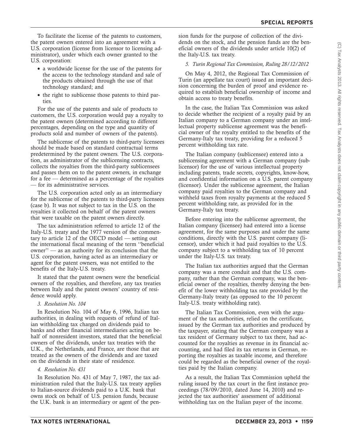To facilitate the license of the patents to customers, the patent owners entered into an agreement with a U.S. corporation (license from licensor to licensing administrator), under which each owner granted to the U.S. corporation:

- a worldwide license for the use of the patents for the access to the technology standard and sale of the products obtained through the use of that technology standard; and
- the right to sublicense those patents to third parties.

For the use of the patents and sale of products to customers, the U.S. corporation would pay a royalty to the patent owners (determined according to different percentages, depending on the type and quantity of products sold and number of owners of the patents).

The sublicense of the patents to third-party licensees should be made based on standard contractual terms predetermined by the patent owners. The U.S. corporation, as administrator of the sublicensing contracts, collects the royalties from the third-party sublicensees and passes them on to the patent owners, in exchange for a fee — determined as a percentage of the royalties — for its administrative services.

The U.S. corporation acted only as an intermediary for the sublicense of the patents to third-party licensees (case b). It was not subject to tax in the U.S. on the royalties it collected on behalf of the patent owners that were taxable on the patent owners directly.

The tax administration referred to article 12 of the Italy-U.S. treaty and the 1977 version of the commentary to article 12 of the OECD model — setting out the international fiscal meaning of the term ''beneficial owner'' — as an authority for its conclusion that the U.S. corporation, having acted as an intermediary or agent for the patent owners, was not entitled to the benefits of the Italy-U.S. treaty.

It stated that the patent owners were the beneficial owners of the royalties, and therefore, any tax treaties between Italy and the patent owners' country of residence would apply.

*3. Resolution No. 104*

In Resolution No. 104 of May 6, 1996, Italian tax authorities, in dealing with requests of refund of Italian withholding tax charged on dividends paid to banks and other financial intermediaries acting on behalf of nonresident investors, stated that the beneficial owners of the dividends, under tax treaties with the U.K., the Netherlands, and France, are those that are treated as the owners of the dividends and are taxed on the dividends in their state of residence.

#### *4. Resolution No. 431*

In Resolution No. 431 of May 7, 1987, the tax administration ruled that the Italy-U.S. tax treaty applies to Italian-source dividends paid to a U.K. bank that owns stock on behalf of U.S. pension funds, because the U.K. bank is an intermediary or agent of the pension funds for the purpose of collection of the dividends on the stock, and the pension funds are the beneficial owners of the dividends under article 10(2) of the Italy-U.S. tax treaty.

#### *5. Turin Regional Tax Commission, Ruling 28/12/2012*

On May 4, 2012, the Regional Tax Commission of Turin (an appellate tax court) issued an important decision concerning the burden of proof and evidence required to establish beneficial ownership of income and obtain access to treaty benefits.

In the case, the Italian Tax Commission was asked to decide whether the recipient of a royalty paid by an Italian company to a German company under an intellectual property sublicense agreement was the beneficial owner of the royalty entitled to the benefits of the Germany-Italy tax treaty, providing for a reduced 5 percent withholding tax rate.

The Italian company (sublicensee) entered into a sublicensing agreement with a German company (sublicensor) for the use of various intellectual property including patents, trade secrets, copyrights, know-how, and confidential information on a U.S. parent company (licensor). Under the sublicense agreement, the Italian company paid royalties to the German company and withheld taxes from royalty payments at the reduced 5 percent withholding rate, as provided for in the Germany-Italy tax treaty.

Before entering into the sublicense agreement, the Italian company (licensee) had entered into a license agreement, for the same purposes and under the same conditions, directly with the U.S. parent company (licensor), under which it had paid royalties to the U.S. company subject to a withholding tax of 10 percent under the Italy-U.S. tax treaty.

The Italian tax authorities argued that the German company was a mere conduit and that the U.S. company, rather than the German company, was the beneficial owner of the royalties, thereby denying the benefit of the lower withholding tax rate provided by the Germany-Italy treaty (as opposed to the 10 percent Italy-U.S. treaty withholding rate).

The Italian Tax Commission, even with the argument of the tax authorities, relied on the certificate, issued by the German tax authorities and produced by the taxpayer, stating that the German company was a tax resident of Germany subject to tax there, had accounted for the royalties as revenue in its financial accounting, and had filed its tax returns in German, reporting the royalties as taxable income, and therefore could be regarded as the beneficial owner of the royalties paid by the Italian company.

As a result, the Italian Tax Commission upheld the ruling issued by the tax court in the first instance proceedings (78/09/2010, dated June 14, 2010) and rejected the tax authorities' assessment of additional withholding tax on the Italian payer of the income.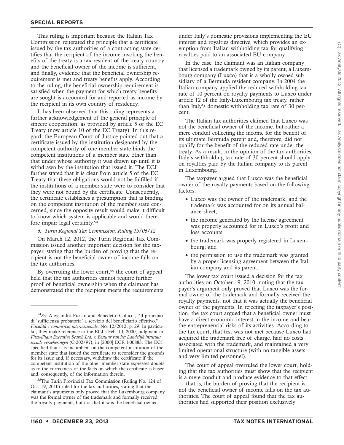This ruling is important because the Italian Tax Commission reiterated the principle that a certificate issued by the tax authorities of a contracting state certifies that the recipient of the income invoking the benefits of the treaty is a tax resident of the treaty country and the beneficial owner of the income is sufficient, and finally, evidence that the beneficial ownership requirement is met and treaty benefits apply. According to the ruling, the beneficial ownership requirement is satisfied when the payment for which treaty benefits are sought is accounted for and reported as income by the recipient in its own country of residency.

It has been observed that this ruling represents a further acknowledgement of the general principle of sincere cooperation, as provided by article 5 of the EC Treaty (now article 10 of the EC Treaty). In this regard, the European Court of Justice pointed out that a certificate issued by the institution designated by the competent authority of one member state binds the competent institutions of a member state other than that under whose authority it was drawn up until it is withdrawn by the institution that issued it. The ECJ further stated that it is clear from article 5 of the EC Treaty that these obligations would not be fulfilled if the institutions of a member state were to consider that they were not bound by the certificate. Consequently, the certificate establishes a presumption that is binding on the competent institution of the member state concerned, since the opposite result would make it difficult to know which system is applicable and would therefore impair legal certainty.54

#### *6. Turin Regional Tax Commission, Ruling 15/06/12*

On March 12, 2012, the Turin Regional Tax Commission issued another important decision for the taxpayer, stating that the burden of proving that the recipient is not the beneficial owner of income falls on the tax authorities.

By overruling the lower court,<sup>55</sup> the court of appeal held that the tax authorities cannot require further proof of beneficial ownership when the claimant has demonstrated that the recipient meets the requirements under Italy's domestic provisions implementing the EU interest and royalties directive, which provides an exemption from Italian withholding tax for qualifying royalties paid to an associated EU company.

In the case, the claimant was an Italian company that licensed a trademark owned by its parent, a Luxembourg company (Luxco) that is a wholly owned subsidiary of a Bermuda resident company. In 2004 the Italian company applied the reduced withholding tax rate of 10 percent on royalty payments to Luxco under article 12 of the Italy-Luxembourg tax treaty, rather than Italy's domestic withholding tax rate of 30 percent.

The Italian tax authorities claimed that Luxco was not the beneficial owner of the income, but rather a mere conduit collecting the income for the benefit of its ultimate Bermuda parent and, therefore, did not qualify for the benefit of the reduced rate under the treaty. As a result, in the opinion of the tax authorities, Italy's withholding tax rate of 30 percent should apply on royalties paid by the Italian company to its parent in Luxembourg.

The taxpayer argued that Luxco was the beneficial owner of the royalty payments based on the following factors:

- Luxco was the owner of the trademark, and the trademark was accounted for on its annual balance sheet;
- the income generated by the license agreement was properly accounted for in Luxco's profit and loss accounts;
- the trademark was properly registered in Luxembourg; and
- the permission to use the trademark was granted by a proper licensing agreement between the Italian company and its parent.

The lower tax court issued a decision for the tax authorities on October 19, 2010, noting that the taxpayer's argument only proved that Luxco was the formal owner of the trademark and formally received the royalty payments, not that it was actually the beneficial owner of the payments. In rejecting the taxpayer's position, the tax court argued that a beneficial owner must have a direct economic interest in the income and bear the entrepreneurial risks of its activities. According to the tax court, that test was not met because Luxco had acquired the trademark free of charge, had no costs associated with the trademark, and maintained a very limited operational structure (with no tangible assets and very limited personnel).

The court of appeal overruled the lower court, holding that the tax authorities must show that the recipient is a mere conduit and produce evidence to that effect — that is, the burden of proving that the recipient is not the beneficial owner of income falls on the tax authorities. The court of appeal found that the tax authorities had supported their position exclusively

<sup>54</sup>*See* Alessandro Furlan and Benedetto Colucci, ''Il principio di 'sufficienza probatoria' a servizio del beneficiario effettivo,'' *Fiscalità e commercio internazionale*, No. 12/2012, p. 29. In particular, they make reference to the ECJ's Feb. 10, 2000, judgment in *Fitzwilliam Executive Search Ltd. v. Bestuur van het Landelijk instituut sociale verzekeringen* (C-202/97), in [2000] ECR I-00883. The ECJ specified that it is incumbent on the competent institution of the member state that issued the certificate to reconsider the grounds for its issue and, if necessary, withdraw the certificate if the competent institution of the other member state expresses doubts as to the correctness of the facts on which the certificate is based and, consequently, of the information therein.

<sup>55</sup>The Turin Provincial Tax Commission (Ruling No. 124 of Oct. 19, 2010) ruled for the tax authorities, stating that the claimant's arguments only proved that the Luxembourg company was the formal owner of the trademark and formally received the royalty payments, but not that it was the beneficial owner.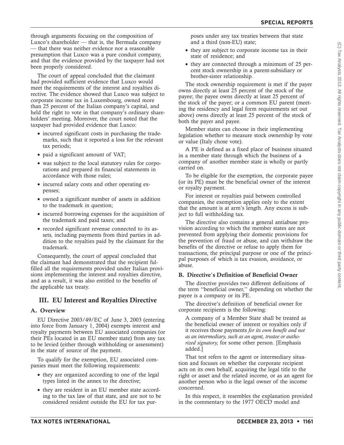through arguments focusing on the composition of Luxco's shareholder — that is, the Bermuda company — that there was neither evidence nor a reasonable presumption that Luxco was a pure conduit company, and that the evidence provided by the taxpayer had not been properly considered.

The court of appeal concluded that the claimant had provided sufficient evidence that Luxco would meet the requirements of the interest and royalties directive. The evidence showed that Luxco was subject to corporate income tax in Luxembourg, owned more than 25 percent of the Italian company's capital, and held the right to vote in that company's ordinary shareholders' meeting. Moreover, the court noted that the taxpayer had provided evidence that Luxco:

- incurred significant costs in purchasing the trademarks, such that it reported a loss for the relevant tax periods;
- paid a significant amount of VAT;
- was subject to the local statutory rules for corporations and prepared its financial statements in accordance with those rules;
- incurred salary costs and other operating expenses;
- owned a significant number of assets in addition to the trademark in question;
- incurred borrowing expenses for the acquisition of the trademark and paid taxes; and
- recorded significant revenue connected to its assets, including payments from third parties in addition to the royalties paid by the claimant for the trademark.

Consequently, the court of appeal concluded that the claimant had demonstrated that the recipient fulfilled all the requirements provided under Italian provisions implementing the interest and royalties directive, and as a result, it was also entitled to the benefits of the applicable tax treaty.

#### **III. EU Interest and Royalties Directive**

#### **A. Overview**

EU Directive 2003/49/EC of June 3, 2003 (entering into force from January 1, 2004) exempts interest and royalty payments between EU associated companies (or their PEs located in an EU member state) from any tax to be levied (either through withholding or assessment) in the state of source of the payment.

To qualify for the exemption, EU associated companies must meet the following requirements:

- they are organized according to one of the legal types listed in the annex to the directive;
- they are resident in an EU member state according to the tax law of that state, and are not to be considered resident outside the EU for tax pur-

poses under any tax treaties between that state and a third (non-EU) state;

- they are subject to corporate income tax in their state of residence; and
- they are connected through a minimum of 25 percent stock ownership in a parent-subsidiary or brother-sister relationship.

The stock ownership requirement is met if the payer owns directly at least 25 percent of the stock of the payee; the payee owns directly at least 25 percent of the stock of the payer; or a common EU parent (meeting the residency and legal form requirements set out above) owns directly at least 25 percent of the stock of both the payer and payee.

Member states can choose in their implementing legislation whether to measure stock ownership by vote or value (Italy chose vote).

A PE is defined as a fixed place of business situated in a member state through which the business of a company of another member state is wholly or partly carried on.

To be eligible for the exemption, the corporate payee (or its PE) must be the beneficial owner of the interest or royalty payment.

For interest or royalties paid between controlled companies, the exemption applies only to the extent that the amount is at arm's length. Any excess is subject to full withholding tax.

The directive also contains a general antiabuse provision according to which the member states are not prevented from applying their domestic provisions for the prevention of fraud or abuse, and can withdraw the benefits of the directive or refuse to apply them for transactions, the principal purpose or one of the principal purposes of which is tax evasion, avoidance, or abuse.

#### **B. Directive**'**s Definition of Beneficial Owner**

The directive provides two different definitions of the term ''beneficial owner,'' depending on whether the payee is a company or its PE.

The directive's definition of beneficial owner for corporate recipients is the following:

A company of a Member State shall be treated as the beneficial owner of interest or royalties only if it receives those payments *for its own benefit and not as an intermediary, such as an agent, trustee or authorized signatory,* for some other person. [Emphasis added.]

That test refers to the agent or intermediary situation and focuses on whether the corporate recipient acts on its own behalf, acquiring the legal title to the right or asset and the related income, or as an agent for another person who is the legal owner of the income concerned.

In this respect, it resembles the explanation provided in the commentary to the 1977 OECD model and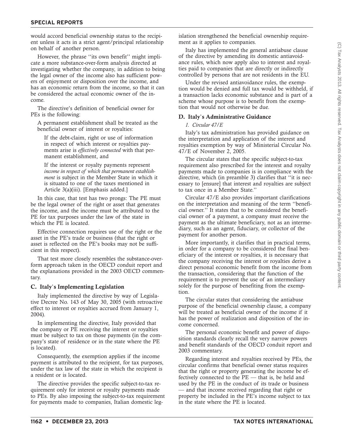would accord beneficial ownership status to the recipient unless it acts in a strict agent/principal relationship on behalf of another person.

However, the phrase "its own benefit" might implicate a more substance-over-form analysis directed at investigating whether the company, in addition to being the legal owner of the income also has sufficient powers of enjoyment or disposition over the income, and has an economic return from the income, so that it can be considered the actual economic owner of the income.

The directive's definition of beneficial owner for PEs is the following:

A permanent establishment shall be treated as the beneficial owner of interest or royalties:

If the debt-claim, right or use of information in respect of which interest or royalties payments arise is *effectively connected* with that permanent establishment, and

If the interest or royalty payments represent *income in respect of which that permanent establishment* is subject in the Member State in which it is situated to one of the taxes mentioned in Article 3(a)(iii). [Emphasis added.]

In this case, that test has two prongs: The PE must be the legal owner of the right or asset that generates the income, and the income must be attributed to the PE for tax purposes under the law of the state in which the PE is located.

Effective connection requires use of the right or the asset in the PE's trade or business (that the right or asset is reflected on the PE's books may not be sufficient in this respect).

That test more closely resembles the substance-overform approach taken in the OECD conduit report and the explanations provided in the 2003 OECD commentary.

#### **C. Italy**'**s Implementing Legislation**

Italy implemented the directive by way of Legislative Decree No. 143 of May 30, 2005 (with retroactive effect to interest or royalties accrued from January 1, 2004).

In implementing the directive, Italy provided that the company or PE receiving the interest or royalties must be subject to tax on those payments (in the company's state of residence or in the state where the PE is located).

Consequently, the exemption applies if the income payment is attributed to the recipient, for tax purposes, under the tax law of the state in which the recipient is a resident or is located.

The directive provides the specific subject-to-tax requirement only for interest or royalty payments made to PEs. By also imposing the subject-to-tax requirement for payments made to companies, Italian domestic legislation strengthened the beneficial ownership requirement as it applies to companies.

Italy has implemented the general antiabuse clause of the directive by amending its domestic antiavoidance rules, which now apply also to interest and royalties paid to companies that are directly or indirectly controlled by persons that are not residents in the EU.

Under the revised antiavoidance rules, the exemption would be denied and full tax would be withheld, if a transaction lacks economic substance and is part of a scheme whose purpose is to benefit from the exemption that would not otherwise be due.

#### **D. Italy**'**s Administrative Guidance**

#### *1. Circular 47/E*

Italy's tax administration has provided guidance on the interpretation and application of the interest and royalties exemption by way of Ministerial Circular No. 47/E of November 2, 2005.

The circular states that the specific subject-to-tax requirement also prescribed for the interest and royalty payments made to companies is in compliance with the directive, which (in preamble 3) clarifies that ''it is necessary to [ensure] that interest and royalties are subject to tax once in a Member State.''

Circular 47/E also provides important clarifications on the interpretation and meaning of the term ''beneficial owner.'' It states that to be considered the beneficial owner of a payment, a company must receive the payment as the ultimate beneficiary, not as an intermediary, such as an agent, fiduciary, or collector of the payment for another person.

More importantly, it clarifies that in practical terms, in order for a company to be considered the final beneficiary of the interest or royalties, it is necessary that the company receiving the interest or royalties derive a direct personal economic benefit from the income from the transaction, considering that the function of the requirement is to prevent the use of an intermediary solely for the purpose of benefiting from the exemption.

The circular states that considering the antiabuse purpose of the beneficial ownership clause, a company will be treated as beneficial owner of the income if it has the power of realization and disposition of the income concerned.

The personal economic benefit and power of disposition standards clearly recall the very narrow powers and benefit standards of the OECD conduit report and 2003 commentary.

Regarding interest and royalties received by PEs, the circular confirms that beneficial owner status requires that the right or property generating the income be effectively connected to the PE — that is, be held and used by the PE in the conduct of its trade or business — and that income received regarding that right or property be included in the PE's income subject to tax in the state where the PE is located.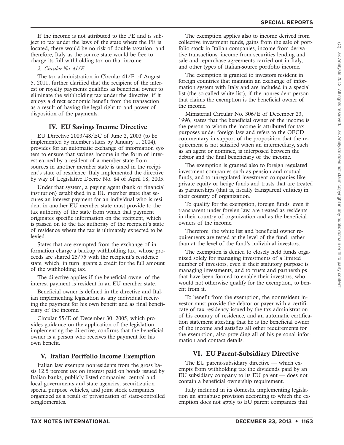If the income is not attributed to the PE and is subject to tax under the laws of the state where the PE is located, there would be no risk of double taxation, and therefore, Italy as the source state would be free to charge its full withholding tax on that income.

*2. Circular No. 41/E*

The tax administration in Circular 41/E of August 5, 2011, further clarified that the recipient of the interest or royalty payments qualifies as beneficial owner to eliminate the withholding tax under the directive, if it enjoys a direct economic benefit from the transaction as a result of having the legal right to and power of disposition of the payments.

#### **IV. EU Savings Income Directive**

EU Directive 2003/48/EC of June 2, 2003 (to be implemented by member states by January 1, 2004), provides for an automatic exchange of information system to ensure that savings income in the form of interest earned by a resident of a member state from sources in another member state is taxed in the recipient's state of residence. Italy implemented the directive by way of Legislative Decree No. 84 of April 18, 2005.

Under that system, a paying agent (bank or financial institution) established in a EU member state that secures an interest payment for an individual who is resident in another EU member state must provide to the tax authority of the state from which that payment originates specific information on the recipient, which is passed on to the tax authority of the recipient's state of residence where the tax is ultimately expected to be levied.

States that are exempted from the exchange of information charge a backup withholding tax, whose proceeds are shared 25/75 with the recipient's residence state, which, in turn, grants a credit for the full amount of the withholding tax.

The directive applies if the beneficial owner of the interest payment is resident in an EU member state.

Beneficial owner is defined in the directive and Italian implementing legislation as any individual receiving the payment for his own benefit and as final beneficiary of the income.

Circular 55/E of December 30, 2005, which provides guidance on the application of the legislation implementing the directive, confirms that the beneficial owner is a person who receives the payment for his own benefit.

#### **V. Italian Portfolio Income Exemption**

Italian law exempts nonresidents from the gross basis 12.5 percent tax on interest paid on bonds issued by Italian banks, publicly listed companies, central and local governments and state agencies, securitization special purpose vehicles, and joint stock companies organized as a result of privatization of state-controlled conglomerates.

The exemption applies also to income derived from collective investment funds, gains from the sale of portfolio stock in Italian companies, income from derivative transactions, income from securities lending and sale and repurchase agreements carried out in Italy, and other types of Italian-source portfolio income.

The exemption is granted to investors resident in foreign countries that maintain an exchange of information system with Italy and are included in a special list (the so-called white list), if the nonresident person that claims the exemption is the beneficial owner of the income.

Ministerial Circular No. 306/E of December 23, 1996, states that the beneficial owner of the income is the person to whom the income is attributed for tax purposes under foreign law and refers to the OECD commentary in support of the proposition that the requirement is not satisfied when an intermediary, such as an agent or nominee, is interposed between the debtor and the final beneficiary of the income.

The exemption is granted also to foreign regulated investment companies such as pension and mutual funds, and to unregulated investment companies like private equity or hedge funds and trusts that are treated as partnerships (that is, fiscally transparent entities) in their country of organization.

To qualify for the exemption, foreign funds, even if transparent under foreign law, are treated as residents in their country of organization and as the beneficial owners of the income.

Therefore, the white list and beneficial owner requirements are tested at the level of the fund, rather than at the level of the fund's individual investors.

The exemption is denied to closely held funds organized solely for managing investments of a limited number of investors, even if their statutory purpose is managing investments, and to trusts and partnerships that have been formed to enable their investors, who would not otherwise qualify for the exemption, to benefit from it.

To benefit from the exemption, the nonresident investor must provide the debtor or payer with a certificate of tax residency issued by the tax administration of his country of residence, and an automatic certification statement attesting that he is the beneficial owner of the income and satisfies all other requirements for the exemption, also providing all of his personal information and contact details.

#### **VI. EU Parent-Subsidiary Directive**

The EU parent-subsidiary directive — which exempts from withholding tax the dividends paid by an EU subsidiary company to its EU parent — does not contain a beneficial ownership requirement.

Italy included in its domestic implementing legislation an antiabuse provision according to which the exemption does not apply to EU parent companies that

 $\widehat{\odot}$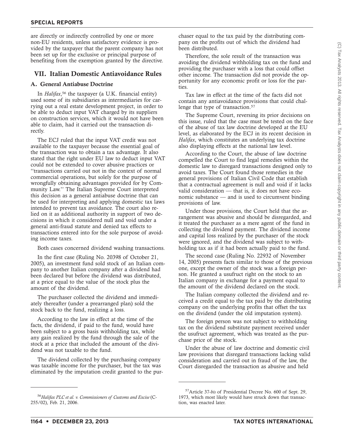# (C) Tax Analysts 2013. All rights reserved. Tax Analysts does not claim copyright in any public domain or third party content.(C) Tax Analysts 2013. All rights reserved. Tax Analysts does not claim copyright in any public domain or third party content

#### **SPECIAL REPORTS**

are directly or indirectly controlled by one or more non-EU residents, unless satisfactory evidence is provided by the taxpayer that the parent company has not been set up for the exclusive or principal purpose of benefiting from the exemption granted by the directive.

#### **VII. Italian Domestic Antiavoidance Rules**

#### **A. General Antiabuse Doctrine**

In *Halifax*,<sup>56</sup> the taxpayer (a U.K. financial entity) used some of its subsidiaries as intermediaries for carrying out a real estate development project, in order to be able to deduct input VAT charged by its suppliers on construction services, which it would not have been able to claim, had it carried out the transaction directly.

The ECJ ruled that the input VAT credit was not available to the taxpayer because the essential goal of the transaction was to obtain a tax advantage. It also stated that the right under EU law to deduct input VAT could not be extended to cover abusive practices or ''transactions carried out not in the context of normal commercial operations, but solely for the purpose of wrongfully obtaining advantages provided for by Community Law.'' The Italian Supreme Court interpreted this decision as a general antiabuse doctrine that can be used for interpreting and applying domestic tax laws intended to prevent tax avoidance. The court also relied on it as additional authority in support of two decisions in which it considered null and void under a general anti-fraud statute and denied tax effects to transactions entered into for the sole purpose of avoiding income taxes.

Both cases concerned dividend washing transactions.

In the first case (Ruling No. 20398 of October 21, 2005), an investment fund sold stock of an Italian company to another Italian company after a dividend had been declared but before the dividend was distributed, at a price equal to the value of the stock plus the amount of the dividend.

The purchaser collected the dividend and immediately thereafter (under a prearranged plan) sold the stock back to the fund, realizing a loss.

According to the law in effect at the time of the facts, the dividend, if paid to the fund, would have been subject to a gross basis withholding tax, while any gain realized by the fund through the sale of the stock at a price that included the amount of the dividend was not taxable to the fund.

The dividend collected by the purchasing company was taxable income for the purchaser, but the tax was eliminated by the imputation credit granted to the purchaser equal to the tax paid by the distributing company on the profits out of which the dividend had been distributed.

Therefore, the sole result of the transaction was avoiding the dividend withholding tax on the fund and providing the purchaser with a loss that could offset other income. The transaction did not provide the opportunity for any economic profit or loss for the parties.

Tax law in effect at the time of the facts did not contain any antiavoidance provisions that could challenge that type of transaction.<sup>57</sup>

The Supreme Court, reversing its prior decisions on this issue, ruled that the case must be tested on the face of the abuse of tax law doctrine developed at the EU level, as elaborated by the ECJ in its recent decision in *Halifax*, which constitutes an underlying tax doctrine also displaying effects at the national law level.

According to the Court, the abuse of law doctrine compelled the Court to find legal remedies within the domestic law to disregard transactions designed only to avoid taxes. The Court found those remedies in the general provisions of Italian Civil Code that establish that a contractual agreement is null and void if it lacks valid consideration — that is, it does not have economic substance — and is used to circumvent binding provisions of law.

Under those provisions, the Court held that the arrangement was abusive and should be disregarded, and it treated the purchaser as a mere agent of the fund in collecting the dividend payment. The dividend income and capital loss realized by the purchaser of the stock were ignored, and the dividend was subject to withholding tax as if it had been actually paid to the fund.

The second case (Ruling No. 22932 of November 14, 2005) presents facts similar to those of the previous one, except the owner of the stock was a foreign person. He granted a usufruct right on the stock to an Italian company in exchange for a payment equal to the amount of the dividend declared on the stock.

The Italian company collected the dividend and received a credit equal to the tax paid by the distributing company on the underlying profits that offset the tax on the dividend (under the old imputation system).

The foreign person was not subject to withholding tax on the dividend substitute payment received under the usufruct agreement, which was treated as the purchase price of the stock.

Under the abuse of law doctrine and domestic civil law provisions that disregard transactions lacking valid consideration and carried out in fraud of the law, the Court disregarded the transaction as abusive and held

<sup>56</sup>*Halifax PLC et al. v. Commissioners of Customs and Excise* (C-255/02), Feb. 21, 2006.

<sup>57</sup>Article 37-*bis* of Presidential Decree No. 600 of Sept. 29, 1973, which most likely would have struck down that transaction, was enacted later.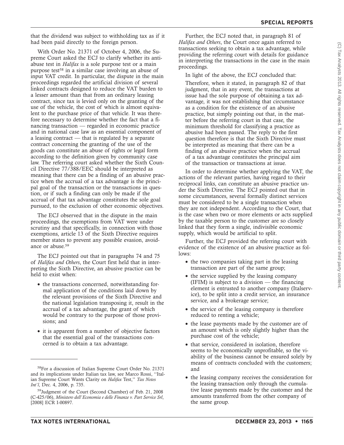that the dividend was subject to withholding tax as if it had been paid directly to the foreign person.

With Order No. 21371 of October 4, 2006, the Supreme Court asked the ECJ to clarify whether its antiabuse test in *Halifax* is a sole purpose test or a main purpose test<sup>58</sup> in a similar case involving an abuse of input VAT credit. In particular, the dispute in the main proceedings regarded the artificial division of several linked contracts designed to reduce the VAT burden to a lesser amount than that from an ordinary leasing contract, since tax is levied only on the granting of the use of the vehicle, the cost of which is almost equivalent to the purchase price of that vehicle. It was therefore necessary to determine whether the fact that a financing transaction — regarded in economic practice and in national case law as an essential component of a leasing contract — that is regulated by a separate contract concerning the granting of the use of the goods can constitute an abuse of rights or legal form according to the definition given by community case law. The referring court asked whether the Sixth Council Directive 77/388/EEC should be interpreted as meaning that there can be a finding of an abusive practice when the accrual of a tax advantage is the principal goal of the transaction or the transactions in question, or if such a finding can only be made if the accrual of that tax advantage constitutes the sole goal pursued, to the exclusion of other economic objectives.

The ECJ observed that in the dispute in the main proceedings, the exemptions from VAT were under scrutiny and that specifically, in connection with those exemptions, article 13 of the Sixth Directive requires member states to prevent any possible evasion, avoidance or abuse.59

The ECJ pointed out that in paragraphs 74 and 75 of *Halifax and Others*, the Court first held that in interpreting the Sixth Directive, an abusive practice can be held to exist when:

- the transactions concerned, notwithstanding formal application of the conditions laid down by the relevant provisions of the Sixth Directive and the national legislation transposing it, result in the accrual of a tax advantage, the grant of which would be contrary to the purpose of those provisions; and
- it is apparent from a number of objective factors that the essential goal of the transactions concerned is to obtain a tax advantage.

Further, the ECJ noted that, in paragraph 81 of *Halifax and Others*, the Court once again referred to transactions seeking to obtain a tax advantage, while providing the referring court with details for guidance in interpreting the transactions in the case in the main proceedings.

In light of the above, the ECJ concluded that:

Therefore, when it stated, in paragraph 82 of that judgment, that in any event, the transactions at issue had the sole purpose of obtaining a tax advantage, it was not establishing that circumstance as a condition for the existence of an abusive practice, but simply pointing out that, in the matter before the referring court in that case, the minimum threshold for classifying a practice as abusive had been passed. The reply to the first question therefore is that the Sixth Directive must be interpreted as meaning that there can be a finding of an abusive practice when the accrual of a tax advantage constitutes the principal aim of the transaction or transactions at issue.

In order to determine whether applying the VAT, the actions of the relevant parties, having regard to their reciprocal links, can constitute an abusive practice under the Sixth Directive. The ECJ pointed out that in some circumstances, several formally distinct services must be considered to be a single transaction when they are not independent. According to the Court, that is the case when two or more elements or acts supplied by the taxable person to the customer are so closely linked that they form a single, indivisible economic supply, which would be artificial to split.

Further, the ECJ provided the referring court with evidence of the existence of an abusive practice as follows:

- the two companies taking part in the leasing transaction are part of the same group;
- the service supplied by the leasing company (IFIM) is subject to a division — the financing element is entrusted to another company (Italservice), to be split into a credit service, an insurance service, and a brokerage service;
- the service of the leasing company is therefore reduced to renting a vehicle;
- the lease payments made by the customer are of an amount which is only slightly higher than the purchase cost of the vehicle;
- that service, considered in isolation, therefore seems to be economically unprofitable, so the viability of the business cannot be ensured solely by means of contracts concluded with the customers; and
- the leasing company receives the consideration for the leasing transaction only through the cumulative lease payments made by the customer and the amounts transferred from the other company of the same group.

<sup>58</sup>For a discussion of Italian Supreme Court Order No. 21371 and its implications under Italian tax law, see Marco Rossi, ''Italian Supreme Court Wants Clarity on *Halifax* Test,'' *Tax Notes Int'l*, Dec. 4, 2006, p. 735.

<sup>59</sup>Judgment of the Court (Second Chamber) of Feb. 21, 2008 (C-425/06), *Ministero dell'Economia e delle Finanze v. Part Service Srl*, [2008] ECR I-00897.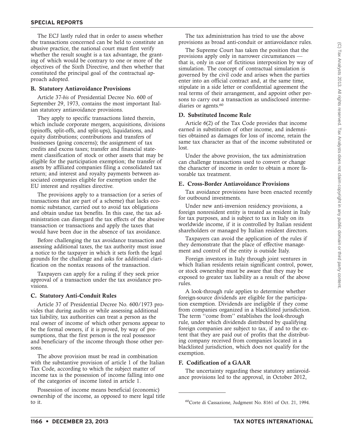The ECJ lastly ruled that in order to assess whether the transactions concerned can be held to constitute an abusive practice, the national court must first verify whether the result sought is a tax advantage, the granting of which would be contrary to one or more of the objectives of the Sixth Directive, and then whether that constituted the principal goal of the contractual approach adopted.

#### **B. Statutory Antiavoidance Provisions**

Article 37-*bis* of Presidential Decree No. 600 of September 29, 1973, contains the most important Italian statutory antiavoidance provisions.

They apply to specific transactions listed therein, which include corporate mergers, acquisitions, divisions (spinoffs, split-offs, and split-ups), liquidations, and equity distributions; contributions and transfers of businesses (going concerns); the assignment of tax credits and excess taxes; transfer and financial statement classification of stock or other assets that may be eligible for the participation exemption; the transfer of assets by affiliated companies filing a consolidated tax return; and interest and royalty payments between associated companies eligible for exemption under the EU interest and royalties directive.

The provisions apply to a transaction (or a series of transactions that are part of a scheme) that lacks economic substance, carried out to avoid tax obligations and obtain undue tax benefits. In this case, the tax administration can disregard the tax effects of the abusive transaction or transactions and apply the taxes that would have been due in the absence of tax avoidance.

Before challenging the tax avoidance transaction and assessing additional taxes, the tax authority must issue a notice to the taxpayer in which it sets forth the legal grounds for the challenge and asks for additional clarification on the nontax reasons of the transaction.

Taxpayers can apply for a ruling if they seek prior approval of a transaction under the tax avoidance provisions.

#### **C. Statutory Anti-Conduit Rules**

Article 37 of Presidential Decree No. 600/1973 provides that during audits or while assessing additional tax liability, tax authorities can treat a person as the real owner of income of which other persons appear to be the formal owners, if it is proved, by way of presumptions, that the first person is the real possessor and beneficiary of the income through those other persons.

The above provision must be read in combination with the substantive provision of article 1 of the Italian Tax Code, according to which the subject matter of income tax is the possession of income falling into one of the categories of income listed in article 1.

Possession of income means beneficial (economic) ownership of the income, as opposed to mere legal title to it.

The tax administration has tried to use the above provisions as broad anti-conduit or antiavoidance rules.

The Supreme Court has taken the position that the provisions apply only in narrower circumstances that is, only in case of fictitious interposition by way of simulation. The concept of contractual simulation is governed by the civil code and arises when the parties enter into an official contract and, at the same time, stipulate in a side letter or confidential agreement the real terms of their arrangement, and appoint other persons to carry out a transaction as undisclosed intermediaries or agents.<sup>60</sup>

#### **D. Substituted Income Rule**

Article 6(2) of the Tax Code provides that income earned in substitution of other income, and indemnities obtained as damages for loss of income, retain the same tax character as that of the income substituted or  $1$ ost.

Under the above provision, the tax administration can challenge transactions used to convert or change the character of income in order to obtain a more favorable tax treatment.

#### **E. Cross-Border Antiavoidance Provisions**

Tax avoidance provisions have been enacted recently for outbound investments.

Under new anti-inversion residency provisions, a foreign nonresident entity is treated as resident in Italy for tax purposes, and is subject to tax in Italy on its worldwide income, if it is controlled by Italian resident shareholders or managed by Italian resident directors.

Taxpayers can avoid the application of the rules if they demonstrate that the place of effective management and control of the entity is outside Italy.

Foreign investors in Italy through joint ventures in which Italian residents retain significant control, power, or stock ownership must be aware that they may be exposed to greater tax liability as a result of the above rules.

A look-through rule applies to determine whether foreign-source dividends are eligible for the participation exemption. Dividends are ineligible if they come from companies organized in a blacklisted jurisdiction. The term ''come from'' establishes the look-through rule, under which dividends distributed by qualifying foreign companies are subject to tax, if and to the extent that they are paid out of profits that the distributing company received from companies located in a blacklisted jurisdiction, which does not qualify for the exemption.

#### **F. Codification of a GAAR**

The uncertainty regarding these statutory antiavoidance provisions led to the approval, in October 2012,

<sup>60</sup>Corte di Cassazione, Judgment No. 8161 of Oct. 21, 1994.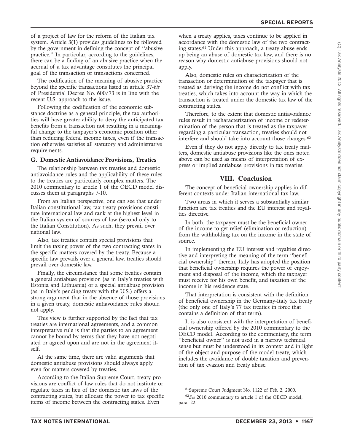of a project of law for the reform of the Italian tax system. Article 3(1) provides guidelines to be followed by the government in defining the concept of ''abusive practice.'' In particular, according to the guidelines, there can be a finding of an abusive practice when the accrual of a tax advantage constitutes the principal goal of the transaction or transactions concerned.

The codification of the meaning of abusive practice beyond the specific transactions listed in article 37-*bis* of Presidential Decree No. 600/73 is in line with the recent U.S. approach to the issue.

Following the codification of the economic substance doctrine as a general principle, the tax authorities will have greater ability to deny the anticipated tax benefits from a transaction not resulting in a meaningful change to the taxpayer's economic position other than reducing federal income taxes, even if the transaction otherwise satisfies all statutory and administrative requirements.

#### **G. Domestic Antiavoidance Provisions, Treaties**

The relationship between tax treaties and domestic antiavoidance rules and the applicability of these rules to the treaties are particularly complex matters. The 2010 commentary to article 1 of the OECD model discusses them at paragraphs 7-10.

From an Italian perspective, one can see that under Italian constitutional law, tax treaty provisions constitute international law and rank at the highest level in the Italian system of sources of law (second only to the Italian Constitution). As such, they prevail over national law.

Also, tax treaties contain special provisions that limit the taxing power of the two contracting states in the specific matters covered by the treaty. Because a specific law prevails over a general law, treaties should prevail over domestic law.

Finally, the circumstance that some treaties contain a general antiabuse provision (as in Italy's treaties with Estonia and Lithuania) or a special antiabuse provision (as in Italy's pending treaty with the U.S.) offers a strong argument that in the absence of those provisions in a given treaty, domestic antiavoidance rules should not apply.

This view is further supported by the fact that tax treaties are international agreements, and a common interpretative rule is that the parties to an agreement cannot be bound by terms that they have not negotiated or agreed upon and are not in the agreement itself.

At the same time, there are valid arguments that domestic antiabuse provisions should always apply, even for matters covered by treaties.

According to the Italian Supreme Court, treaty provisions are conflict of law rules that do not institute or regulate taxes in lieu of the domestic tax laws of the contracting states, but allocate the power to tax specific items of income between the contracting states. Even

when a treaty applies, taxes continue to be applied in accordance with the domestic law of the two contracting states.61 Under this approach, a treaty abuse ends up being an abuse of domestic tax law, and there is no reason why domestic antiabuse provisions should not apply.

Also, domestic rules on characterization of the transaction or determination of the taxpayer that is treated as deriving the income do not conflict with tax treaties, which takes into account the way in which the transaction is treated under the domestic tax law of the contracting states.

Therefore, to the extent that domestic antiavoidance rules result in recharacterization of income or redetermination of the person that is treated as the taxpayer regarding a particular transaction, treaties should not interfere and should take into account those changes.62

Even if they do not apply directly to tax treaty matters, domestic antiabuse provisions like the ones noted above can be used as means of interpretation of express or implied antiabuse provisions in tax treaties.

#### **VIII. Conclusion**

The concept of beneficial ownership applies in different contexts under Italian international tax law.

Two areas in which it serves a substantially similar function are tax treaties and the EU interest and royalties directive.

In both, the taxpayer must be the beneficial owner of the income to get relief (elimination or reduction) from the withholding tax on the income in the state of source.

In implementing the EU interest and royalties directive and interpreting the meaning of the term ''beneficial ownership'' therein, Italy has adopted the position that beneficial ownership requires the power of enjoyment and disposal of the income, which the taxpayer must receive for his own benefit, and taxation of the income in his residence state.

That interpretation is consistent with the definition of beneficial ownership in the Germany-Italy tax treaty (the only one of Italy's 77 tax treaties in force that contains a definition of that term).

It is also consistent with the interpretation of beneficial ownership offered by the 2010 commentary to the OECD model. According to the commentary, the term ''beneficial owner'' is not used in a narrow technical sense but must be understood in its context and in light of the object and purpose of the model treaty, which includes the avoidance of double taxation and prevention of tax evasion and treaty abuse.

61Supreme Court Judgment No. 1122 of Feb. 2, 2000. <sup>62</sup>*See* 2010 commentary to article 1 of the OECD model, para. 22.

 $\widehat{\odot}$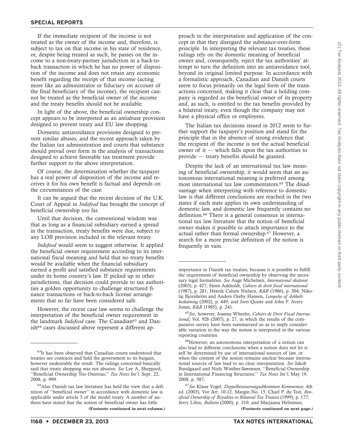If the immediate recipient of the income is not treated as the owner of the income and, therefore, is subject to tax on that income in his state of residence, or, despite being treated as such, he passes on the income to a non-treaty-partner jurisdiction in a back-toback transaction in which he has no power of disposition of the income and does not retain any economic benefit regarding the receipt of that income (acting more like an administrator or fiduciary on account of the final beneficiary of the income), the recipient cannot be treated as the beneficial owner of the income and the treaty benefits should not be available.

In light of the above, the beneficial ownership concept appears to be interpreted as an antiabuse provision designed to prevent treaty and EU law shopping.

Domestic antiavoidance provisions designed to prevent similar abuses, and the recent approach taken by the Italian tax administration and courts that substance should prevail over form in the analysis of transactions designed to achieve favorable tax treatment provide further support to the above interpretation.

Of course, the determination whether the taxpayer has a real power of disposition of the income and receives it for his own benefit is factual and depends on the circumstances of the case.

It can be argued that the recent decision of the U.K. Court of Appeal in *Indofood* has brought the concept of beneficial ownership too far.

Until that decision, the conventional wisdom was that as long as a financial subsidiary earned a spread in the transaction, treaty benefits were due, subject to any LOB provision included in the relevant treaty.

*Indofood* would seem to suggest otherwise. It applied the beneficial owner requirement according to its international fiscal meaning and held that no treaty benefits would be available when the financial subsidiary earned a profit and satisfied substance requirements under its home country's law. If picked up in other jurisdictions, that decision could provide to tax authorities a golden opportunity to challenge structured finance transactions or back-to-back license arrangements that so far have been considered safe.

However, the recent case law seems to challenge the interpretation of the beneficial owner requirement in the landmark *Indofood* case. The Canadian<sup>63</sup> and Danish<sup>64</sup> cases discussed above represent a different approach in the interpretation and application of the concept in that they disregard the substance-over-form principle. In interpreting the relevant tax treaties, these rulings rely on the domestic meaning of beneficial owner and, consequently, reject the tax authorities' attempt to turn the definition into an antiavoidance tool, beyond its original limited purpose. In accordance with a formalistic approach, Canadian and Danish courts seem to focus primarily on the legal form of the transactions concerned, making it clear that a holding company is regarded as the beneficial owner of its property and, as such, is entitled to the tax benefits provided by a bilateral treaty, even though the company may not have a physical office or employees.

The Italian tax decisions issued in 2012 seem to further support the taxpayer's position and stand for the principle that in the absence of strong evidence that the recipient of the income is not the actual beneficial owner of it  $-$  which falls upon the tax authorities to provide — treaty benefits should be granted.

Despite the lack of an international tax law meaning of beneficial ownership, it would seem that an autonomous international meaning is preferred among most international tax law commentators.65 The disadvantage when interpreting with reference to domestic law is that different conclusions are reached in the two states if each state applies its own understanding of domestic law, and domestic law frequently contains no definition.<sup>66</sup> There is a general consensus in international tax law literature that the notion of beneficial owner makes it possible to attach importance to the actual rather than formal ownership.<sup>67</sup> However, a search for a more precise definition of the notion is frequently in vain.

<sup>&</sup>lt;sup>63</sup>It has been observed that Canadian courts understood that treaties are contracts and held the government to its bargain, however undesirable the result. The rulings concerned basically said that treaty shopping was not abusive. *See* Lee A. Sheppard, ''Beneficial Ownership Too Onerous,'' *Tax Notes Int'l*, Sept. 22, 2008, p. 999.

<sup>64</sup>Also Danish tax law literature has held the view that a definition of ''beneficial owner'' in accordance with domestic law is applicable under article 3 of the model treaty. A number of authors have stated that the notion of beneficial owner has little

importance in Danish tax treaties, because it is possible to fulfill the requirement of beneficial ownership by observing the necessary legal formalities. *See* Aage Michelsen, *International skatteret* (2003), p. 427; Steen Askholdt, *Cahiers de droit fiscal international* (1987), p. 281; Henrik Calum Nielsen, *R&R* (1986), p. 304; Nikolaj Bjornholm and Anders Oreby Hansen, *Lempelse af dobbeltbeskatning* (2002), p. 449; and Jorn Quiste and John F. Avery Jones, *R&R* (1985), p. 241.

<sup>65</sup>*See*, however, Joanna Wheeler, *Cahiers de Droit Fiscal International*, Vol. 92b (2007), p. 27, in which the results of the comparative survey have been summarized so as to imply considerable variation in the way the notion is interpreted in the various reporting countries.

<sup>66</sup>However, an autonomous interpretation of a notion can also lead to different conclusions when a notion does not let itself be determined by use of international sources of law, or when the content of the notion remains unclear because international sources of law lead to no clear interpretation. *See* Jakob Bundgaard and Niels Winther-Sørensen, ''Beneficial Ownership in International Financing Structures,'' *Tax Notes Int'l*, May 19, 2008, p. 587.

<sup>67</sup>*See* Klaus Vogel, *Doppelbesteuerungsabkommen Kommentar*, 4th ed. (2003), Vor Art. 10-12, Margin No. 15; Charl P. du Toit, *Beneficial Ownership of Royalties in Bilateral Tax Treaties* (1999), p. 177; Jerry Libin, *Bulletin* (2000), p. 310; and Marjaana Helminen, **(Footnote continued in next column.) (Footnote continued on next page.)**